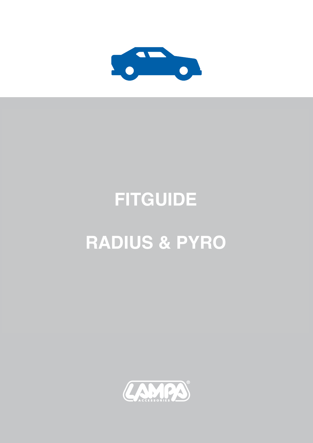

## **FITGUIDE**

## **RADIUS & PYRO**

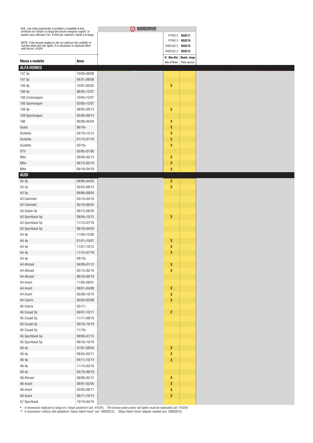| N.B.: una volta posizionato il portabici e installate le bici,<br>verificare se i fanali e la targa del veicolo vengono coperti. In<br>questo caso utilizzare l'art. 41524 per replicare i fanali e la targa. |                            | O NORDRIVE |                  |                             |  |
|---------------------------------------------------------------------------------------------------------------------------------------------------------------------------------------------------------------|----------------------------|------------|------------------|-----------------------------|--|
|                                                                                                                                                                                                               |                            |            |                  | PYRO 2 N50211               |  |
| NOTE: if the bicycle loaded on the car obstruct the visibility of<br>number plate and rear lights, it is necessary to replicate them                                                                          |                            |            | RADIUS 2 N50216  | PYRO 3 N50210               |  |
| with the art. 41524                                                                                                                                                                                           |                            |            | RADIUS 3 N50215  |                             |  |
|                                                                                                                                                                                                               |                            |            |                  | N□Max Bici Replic. targa    |  |
| Marca e modello                                                                                                                                                                                               | Anno                       |            |                  | Max N°Bikes Plate replicat. |  |
| <b>ALFA ROMEO</b>                                                                                                                                                                                             |                            |            |                  |                             |  |
| 147 3p                                                                                                                                                                                                        | 10/00>08/08                |            |                  |                             |  |
| 147 5p                                                                                                                                                                                                        | 04/01>08/08<br>10/97>05/03 |            | $\mathbf{3}$     |                             |  |
| 156 4p<br>156 4p                                                                                                                                                                                              | 06/03>12/07                |            |                  |                             |  |
| 156 Crosswagon                                                                                                                                                                                                | 10/04>12/07                |            |                  |                             |  |
| 156 Sportwagon                                                                                                                                                                                                | 03/00>12/07                |            |                  |                             |  |
| 159 4p                                                                                                                                                                                                        | 08/05>09/13                |            | $\mathbf{3}$     |                             |  |
| 159 Sportwagon                                                                                                                                                                                                | 03/06>09/13                |            |                  |                             |  |
| 166                                                                                                                                                                                                           | 06/98>05/04                |            | $\mathbf{3}$     |                             |  |
| Giulia                                                                                                                                                                                                        | 06/16                      |            | $\mathbf{3}$     |                             |  |
| Giulietta                                                                                                                                                                                                     | 04/10>12/13                |            | 3                |                             |  |
| Giulietta                                                                                                                                                                                                     | 01/14>01/16                |            | 3                |                             |  |
| Giulietta                                                                                                                                                                                                     | 02/16                      |            | $\mathbf{3}$     |                             |  |
| GTV                                                                                                                                                                                                           | 03/95>01/06                |            |                  |                             |  |
| Mito                                                                                                                                                                                                          | 09/08>05/13                |            | $\mathbf{3}$     |                             |  |
| Mito                                                                                                                                                                                                          | 06/13>05/16                |            | 3                |                             |  |
| Mito                                                                                                                                                                                                          | 06/16>04/19                |            | 3                |                             |  |
| <b>AUDI</b>                                                                                                                                                                                                   |                            |            |                  |                             |  |
| A3 3p                                                                                                                                                                                                         | 09/96>04/03                |            | 3                |                             |  |
| A3 3p                                                                                                                                                                                                         | 05/03>08/12                |            | $\mathbf{3}$     |                             |  |
| A3 5p                                                                                                                                                                                                         | 09/96>08/04                |            |                  |                             |  |
| A3 Cabriolet                                                                                                                                                                                                  | 03/14>04/16                |            |                  |                             |  |
| A3 Cabriolet                                                                                                                                                                                                  | 05/16>06/20                |            |                  |                             |  |
| A3 Sedan 4p                                                                                                                                                                                                   | 09/13>06/20                |            |                  |                             |  |
| A3 Sportback 5p                                                                                                                                                                                               | 09/04>10/12                |            | $\mathbf{3}$     |                             |  |
| A3 Sportback 5p                                                                                                                                                                                               | 11/12>07/16                |            |                  |                             |  |
| A3 Sportback 5p                                                                                                                                                                                               | 08/16>04/20                |            |                  |                             |  |
| A4 4p                                                                                                                                                                                                         | 11/94>12/00                |            |                  |                             |  |
| A4 4p                                                                                                                                                                                                         | 01/01>10/07                |            | 3                |                             |  |
| A4 4p                                                                                                                                                                                                         | 11/07>10/15                |            | 3                |                             |  |
| A4 4p                                                                                                                                                                                                         | 11/15>07/19                |            | 3                |                             |  |
| A4 4p                                                                                                                                                                                                         | 08/19                      |            |                  |                             |  |
| A4 Allroad                                                                                                                                                                                                    | 04/09>01/12                |            | $\boldsymbol{3}$ |                             |  |
| A4 Allroad                                                                                                                                                                                                    | 02/12>05/16                |            | $\mathbf{3}$     |                             |  |
| A4 Allroad                                                                                                                                                                                                    | 06/16>09/19                |            |                  |                             |  |
| A4 Avant                                                                                                                                                                                                      | 11/95>08/01                |            |                  |                             |  |
| A4 Avant                                                                                                                                                                                                      | 09/01>04/08                |            | $\boldsymbol{3}$ |                             |  |
| A4 Avant                                                                                                                                                                                                      | 05/08>10/15                |            | $\mathbf{3}$     |                             |  |
| A4 Cabrio                                                                                                                                                                                                     | 05/02>03/08                |            | $\mathbf{3}$     |                             |  |
| A5 Cabrio                                                                                                                                                                                                     | 03/17                      |            |                  |                             |  |
| A5 Coupè 2p                                                                                                                                                                                                   | 06/07>10/11                |            | $\boldsymbol{2}$ |                             |  |
| A5 Coupè 2p                                                                                                                                                                                                   | 11/11>08/16                |            |                  |                             |  |
| A5 Coupè 2p                                                                                                                                                                                                   | 09/16>10/19                |            |                  |                             |  |
| A5 Coupè 2p                                                                                                                                                                                                   | 11/19                      |            |                  |                             |  |
| A5 Sportback 5p                                                                                                                                                                                               | 09/09>07/15                |            |                  |                             |  |
| A5 Sportback 5p                                                                                                                                                                                               | 09/16>10/19                |            |                  |                             |  |
| A6 4p                                                                                                                                                                                                         | 07/97>08/04                |            | 3                |                             |  |
| A6 4p                                                                                                                                                                                                         | 09/04>03/11                |            | $\mathbf 3$      |                             |  |
| A6 4p                                                                                                                                                                                                         | 04/11>10/14                |            | $\mathbf{3}$     |                             |  |
| A6 4p                                                                                                                                                                                                         | 11/14>03/16                |            |                  |                             |  |
| A6 4p                                                                                                                                                                                                         | 04/16>06/18                |            |                  |                             |  |
| A6 Allroad                                                                                                                                                                                                    | 06/06>02/12                |            | $\mathbf{3}$     |                             |  |
| A6 Avant                                                                                                                                                                                                      | 08/97>02/05                |            | $\mathbf 3$      |                             |  |
| A6 Avant                                                                                                                                                                                                      | 03/05>08/11                |            | $\mathbf{3}$     |                             |  |
| A6 Avant                                                                                                                                                                                                      | 09/11>10/14                |            | $\mathbf 3$      |                             |  |
| A7 Sportback                                                                                                                                                                                                  | 10/10>03/16                |            |                  |                             |  |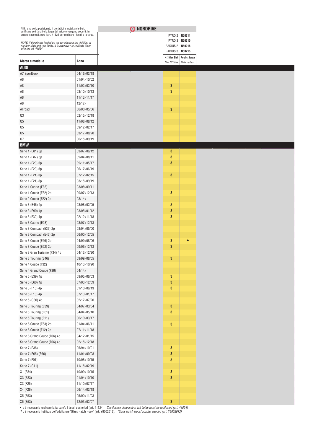| N.B.: una volta posizionato il portabici e installate le bici,<br>verificare se i fanali e la targa del veicolo vengono coperti. In<br>questo caso utilizzare l'art. 41524 per replicare i fanali e la targa. |               | O NORDRIVE |                   |                                             |  |
|---------------------------------------------------------------------------------------------------------------------------------------------------------------------------------------------------------------|---------------|------------|-------------------|---------------------------------------------|--|
|                                                                                                                                                                                                               |               |            |                   | PYRO 2 N50211                               |  |
| NOTE: if the bicycle loaded on the car obstruct the visibility of                                                                                                                                             |               |            |                   | PYRO 3 N50210                               |  |
| number plate and rear lights, it is necessary to replicate them<br>with the art. 41524                                                                                                                        |               |            | RADIUS 2 N50216   |                                             |  |
|                                                                                                                                                                                                               |               |            | RADIUS 3 N50215   |                                             |  |
| Marca e modello                                                                                                                                                                                               | Anno          |            | Max N°Bikes       | N□Max Bici Replic. targa<br>Plate replicat. |  |
| <b>AUDI</b>                                                                                                                                                                                                   |               |            |                   |                                             |  |
| A7 Sportback                                                                                                                                                                                                  | 04/16>03/18   |            |                   |                                             |  |
| A8                                                                                                                                                                                                            | 01/94>10/02   |            |                   |                                             |  |
| A <sub>8</sub>                                                                                                                                                                                                | 11/02>02/10   |            | 3                 |                                             |  |
| A8                                                                                                                                                                                                            | 03/10>10/13   |            | 3                 |                                             |  |
| A8                                                                                                                                                                                                            | 11/13>11/17   |            |                   |                                             |  |
| A8                                                                                                                                                                                                            | 12/17         |            |                   |                                             |  |
| Allroad                                                                                                                                                                                                       | 06/00>05/06   |            | $\mathbf{3}$      |                                             |  |
| Q3                                                                                                                                                                                                            | 02/15>12/18   |            |                   |                                             |  |
| Q <sub>5</sub>                                                                                                                                                                                                | 11/08>08/12   |            |                   |                                             |  |
| Q5                                                                                                                                                                                                            | 09/12>02/17   |            |                   |                                             |  |
| Q <sub>5</sub>                                                                                                                                                                                                | 03/17>08/20   |            |                   |                                             |  |
| $Q7$                                                                                                                                                                                                          | 06/15>09/19   |            |                   |                                             |  |
| <b>BMW</b>                                                                                                                                                                                                    |               |            |                   |                                             |  |
| Serie 1 (E81) 3p                                                                                                                                                                                              | 03/07>06/12   |            | 3                 |                                             |  |
| Serie 1 (E87) 5p                                                                                                                                                                                              | 09/04>08/11   |            | 3                 |                                             |  |
|                                                                                                                                                                                                               | 09/11>05/17   |            | $\mathbf{3}$      |                                             |  |
| Serie 1 (F20) 5p                                                                                                                                                                                              |               |            |                   |                                             |  |
| Serie 1 (F20) 5p                                                                                                                                                                                              | 06/17>06/19   |            |                   |                                             |  |
| Serie 1 (F21) 3p                                                                                                                                                                                              | 07/12>02/15   |            | $\mathbf{3}$      |                                             |  |
| Serie 1 (F21) 3p                                                                                                                                                                                              | 03/15>09/19   |            |                   |                                             |  |
| Serie 1 Cabrio (E88)                                                                                                                                                                                          | 03/08>09/11   |            |                   |                                             |  |
| Serie 1 Coupè (E82) 2p                                                                                                                                                                                        | 09/07>12/13   |            | 3                 |                                             |  |
| Serie 2 Coupè (F22) 2p                                                                                                                                                                                        | 03/14         |            |                   |                                             |  |
| Serie 3 (E46) 4p                                                                                                                                                                                              | 03/98>02/05   |            | 3                 |                                             |  |
| Serie 3 (E90) 4p                                                                                                                                                                                              | 03/05>01/12   |            | 3                 |                                             |  |
| Serie 3 (F30) 4p                                                                                                                                                                                              | 02/12>11/18   |            | 3                 |                                             |  |
| Serie 3 Cabrio (E93)                                                                                                                                                                                          | 03/07>12/13   |            |                   |                                             |  |
| Serie 3 Compact (E36) 2p                                                                                                                                                                                      | 08/94>05/00   |            |                   |                                             |  |
| Serie 3 Compact (E46) 2p                                                                                                                                                                                      | 06/00>12/05   |            |                   |                                             |  |
| Serie 3 Coupè (E46) 2p                                                                                                                                                                                        | 04/99>08/06   |            | 3                 |                                             |  |
| Serie 3 Coupè (E92) 2p                                                                                                                                                                                        | 09/06>12/13   |            | $\mathbf{3}$      |                                             |  |
| Serie 3 Gran Turismo (F34) 4p                                                                                                                                                                                 | 04/13>12/20   |            |                   |                                             |  |
| Serie 3 Touring (E46)                                                                                                                                                                                         | 09/99>08/05   |            | $\mathbf{3}$      |                                             |  |
| Serie 4 Coupé (F32)                                                                                                                                                                                           | 10/13>10/20   |            |                   |                                             |  |
| Serie 4 Grand Coupè (F36)                                                                                                                                                                                     | 04/14         |            |                   |                                             |  |
| Serie 5 (E39) 4p                                                                                                                                                                                              | 09/95>06/03   |            | 3                 |                                             |  |
| Serie 5 (E60) 4p                                                                                                                                                                                              | 07/03>12/09   |            | 3                 |                                             |  |
| Serie 5 (F10) 4p                                                                                                                                                                                              | 01/10>06/13   |            | $\mathbf{3}$      |                                             |  |
| Serie 5 (F10) 4p                                                                                                                                                                                              | 07/13>01/17   |            |                   |                                             |  |
| Serie 5 (G30) 4p                                                                                                                                                                                              | 02/17>07/20   |            |                   |                                             |  |
| Serie 5 Touring (E39)                                                                                                                                                                                         | 04/97>03/04   |            | 3                 |                                             |  |
| Serie 5 Touring (E61)                                                                                                                                                                                         | 04/04 > 05/10 |            | $\mathbf{3}$      |                                             |  |
| Serie 5 Touring (F11)                                                                                                                                                                                         | 06/10>03/17   |            |                   |                                             |  |
| Serie 6 Coupè (E63) 2p                                                                                                                                                                                        | 01/04>06/11   |            | $\mathbf{3}$      |                                             |  |
| Serie 6 Coupè (F12) 2p                                                                                                                                                                                        | 07/11>11/18   |            |                   |                                             |  |
| Serie 6 Grand Coupè (F06) 4p                                                                                                                                                                                  | 04/12>01/15   |            |                   |                                             |  |
| Serie 6 Grand Coupè (F06) 4p                                                                                                                                                                                  | 02/15>12/18   |            |                   |                                             |  |
|                                                                                                                                                                                                               |               |            |                   |                                             |  |
| Serie 7 (E38)                                                                                                                                                                                                 | 05/94>10/01   |            | 3                 |                                             |  |
| Serie 7 (E65) (E66)                                                                                                                                                                                           | 11/01>09/08   |            | 3<br>$\mathbf{3}$ |                                             |  |
| Serie 7 (F01)                                                                                                                                                                                                 | 10/08>10/15   |            |                   |                                             |  |
| Serie 7 (G11)                                                                                                                                                                                                 | 11/15>02/19   |            |                   |                                             |  |
| X1 (E84)                                                                                                                                                                                                      | 10/09>10/15   |            | 3                 |                                             |  |
| X3 (E83)                                                                                                                                                                                                      | 01/04>10/10   |            | $\mathbf{3}$      |                                             |  |
| X3 (F25)                                                                                                                                                                                                      | 11/10>07/17   |            |                   |                                             |  |
| X4 (F26)                                                                                                                                                                                                      | 06/14>03/18   |            |                   |                                             |  |
| X5 (E53)                                                                                                                                                                                                      | 05/00>11/03   |            |                   |                                             |  |
| X5 (E53)                                                                                                                                                                                                      | 12/03>02/07   |            | $\mathbf{3}$      |                                             |  |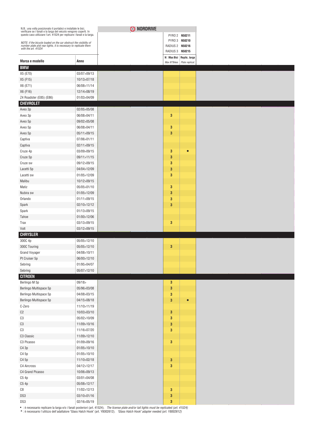| N.B.: una volta posizionato il portabici e installate le bici,<br>verificare se i fanali e la targa del veicolo vengono coperti. In<br>questo caso utilizzare l'art. 41524 per replicare i fanali e la targa. |                            | O NORDRIVE |                 |                          |
|---------------------------------------------------------------------------------------------------------------------------------------------------------------------------------------------------------------|----------------------------|------------|-----------------|--------------------------|
|                                                                                                                                                                                                               |                            |            |                 | PYRO 2 N50211            |
| NOTE: if the bicycle loaded on the car obstruct the visibility of number plate and rear lights, it is necessary to replicate them                                                                             |                            |            | RADIUS 2 N50216 | PYRO 3 N50210            |
| with the art. 41524                                                                                                                                                                                           |                            |            | RADIUS 3 N50215 |                          |
|                                                                                                                                                                                                               |                            |            |                 | N□Max Bici Replic. targa |
| Marca e modello                                                                                                                                                                                               | Anno                       |            | Max N°Bikes     | Plate replicat.          |
| <b>BMW</b>                                                                                                                                                                                                    |                            |            |                 |                          |
| X5 (E70)                                                                                                                                                                                                      | 03/07>09/13                |            |                 |                          |
| X5 (F15)                                                                                                                                                                                                      | 10/13>07/18                |            |                 |                          |
| X6 (E71)                                                                                                                                                                                                      | 06/08>11/14                |            |                 |                          |
| X6 (F16)<br>Z4 Roadster (E85) (E86)                                                                                                                                                                           | 12/14>08/19<br>01/03>04/09 |            |                 |                          |
| <b>CHEVROLET</b>                                                                                                                                                                                              |                            |            |                 |                          |
| Aveo 3p                                                                                                                                                                                                       | 02/05>05/08                |            |                 |                          |
| Aveo 3p                                                                                                                                                                                                       | 06/08>04/11                |            | 3               |                          |
| Aveo 5p                                                                                                                                                                                                       | 09/02>05/08                |            |                 |                          |
| Aveo 5p                                                                                                                                                                                                       | 06/08>04/11                |            | 3               |                          |
| Aveo 5p                                                                                                                                                                                                       | 05/11>09/15                |            | $\mathbf{3}$    |                          |
| Captiva                                                                                                                                                                                                       | 07/06>01/11                |            |                 |                          |
| Captiva                                                                                                                                                                                                       | 02/11>09/15                |            |                 |                          |
| Cruze 4p                                                                                                                                                                                                      | 03/09>09/15                |            | 3               | Ω                        |
| Cruze 5p                                                                                                                                                                                                      | 09/11>11/15                |            | $\mathbf{3}$    |                          |
| Cruze sw                                                                                                                                                                                                      | 09/12>09/15                |            | 3               |                          |
| Lacetti 5p                                                                                                                                                                                                    | 04/04>12/09                |            | $\mathbf{3}$    |                          |
| Lacetti sw                                                                                                                                                                                                    | 01/05>12/09                |            | 3               |                          |
| Malibu                                                                                                                                                                                                        | 10/12>09/15                |            |                 |                          |
| Matiz                                                                                                                                                                                                         | 05/05>01/10                |            | 3               |                          |
| Nubira sw                                                                                                                                                                                                     | 01/05>12/09                |            | $\mathbf{3}$    |                          |
| Orlando                                                                                                                                                                                                       | 01/11>09/15                |            | 3               |                          |
| Spark                                                                                                                                                                                                         | 02/10>12/12                |            | 3               |                          |
| Spark                                                                                                                                                                                                         | 01/13>09/15                |            |                 |                          |
| Tahoe                                                                                                                                                                                                         | 01/00>12/06                |            |                 |                          |
| Trax                                                                                                                                                                                                          | 03/13>09/15                |            | $\mathbf{3}$    |                          |
| Volt                                                                                                                                                                                                          | 03/12>09/15                |            |                 |                          |
| <b>CHRYSLER</b>                                                                                                                                                                                               |                            |            |                 |                          |
| 300C 4p                                                                                                                                                                                                       | 05/05>12/10                |            |                 |                          |
| 300C Touring                                                                                                                                                                                                  | 05/05>12/10                |            | $\mathbf{3}$    |                          |
| <b>Grand Voyager</b>                                                                                                                                                                                          | 04/08>10/11                |            |                 |                          |
| Pt Cruiser 5p                                                                                                                                                                                                 | 06/00>12/10                |            |                 |                          |
| Sebring                                                                                                                                                                                                       | 01/95>04/07                |            |                 |                          |
| Sebring                                                                                                                                                                                                       | 05/07>12/10                |            |                 |                          |
| <b>CITROEN</b>                                                                                                                                                                                                |                            |            |                 |                          |
| Berlingo M 5p                                                                                                                                                                                                 | 09/18                      |            | 3               |                          |
| Berlingo Multispace 5p                                                                                                                                                                                        | 05/96>03/08                |            | 3               |                          |
| Berlingo Multispace 5p                                                                                                                                                                                        | 04/08>03/15                |            | 3               |                          |
| Berlingo Multispace 5p                                                                                                                                                                                        | 04/15>08/18                |            | $\mathbf{3}$    | $\bullet$                |
| C-Zero                                                                                                                                                                                                        | 11/10>11/19                |            |                 |                          |
| C <sub>2</sub>                                                                                                                                                                                                | 10/03>03/10                |            | 3               |                          |
| C3                                                                                                                                                                                                            | 05/02>10/09                |            | 3               |                          |
| C3                                                                                                                                                                                                            | 11/09>10/16                |            | 3               |                          |
| $\mathbb{C}3$                                                                                                                                                                                                 | 11/16>07/20                |            | $\mathbf{3}$    |                          |
| C3 Classic                                                                                                                                                                                                    | 11/09>12/10                |            |                 |                          |
| C3 Picasso                                                                                                                                                                                                    | 01/09>09/16                |            | $\mathbf{3}$    |                          |
| C4 3p                                                                                                                                                                                                         | 01/05>10/10                |            |                 |                          |
| C4 5p                                                                                                                                                                                                         | 01/05>10/10                |            |                 |                          |
| C4 5p                                                                                                                                                                                                         | 11/10>02/18                |            | $\mathbf{3}$    |                          |
| C4 Aircross                                                                                                                                                                                                   | 04/12>12/17                |            | $\mathbf{3}$    |                          |
| C4 Grand Picasso                                                                                                                                                                                              | 10/06>09/13                |            |                 |                          |
| C54p                                                                                                                                                                                                          | 03/01>04/08                |            |                 |                          |
| C5 4p                                                                                                                                                                                                         | 05/08>12/17                |            |                 |                          |
| C8                                                                                                                                                                                                            | 11/02>12/13                |            | $\mathbf{3}$    |                          |
| DS3                                                                                                                                                                                                           | 03/10>01/16                |            | 3               |                          |
| DS3                                                                                                                                                                                                           | 02/16>05/19                |            | $\mathbf{3}$    |                          |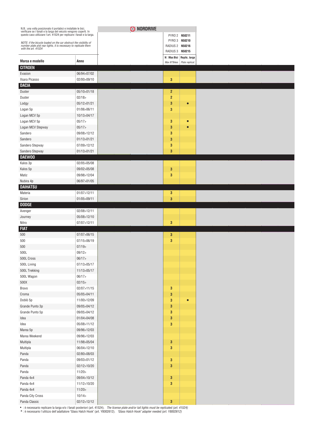| N.B.: una volta posizionato il portabici e installate le bici,<br>verificare se i fanali e la targa del veicolo vengono coperti. In<br>questo caso utilizzare l'art. 41524 per replicare i fanali e la targa. |               |
|---------------------------------------------------------------------------------------------------------------------------------------------------------------------------------------------------------------|---------------|
|                                                                                                                                                                                                               |               |
| NOTE: if the bicycle loaded on the car obstruct the visibility of<br>number plate and rear lights, it is necessary to replicate them                                                                          |               |
| with the art. 41524                                                                                                                                                                                           |               |
|                                                                                                                                                                                                               |               |
| Marca e modello<br><b>CITROEN</b>                                                                                                                                                                             | Anno          |
| Evasion                                                                                                                                                                                                       | 06/94>07/02   |
| Xsara Picasso                                                                                                                                                                                                 | 02/00>09/10   |
| <b>DACIA</b>                                                                                                                                                                                                  |               |
| Duster                                                                                                                                                                                                        | 05/10>01/18   |
| Duster                                                                                                                                                                                                        | 02/18         |
| Lodgy                                                                                                                                                                                                         | 05/12>01/21   |
| Logan 5p                                                                                                                                                                                                      | 01/06>06/11   |
| Logan MCV 5p                                                                                                                                                                                                  | 10/13>04/17   |
| Logan MCV 5p                                                                                                                                                                                                  | 05/17         |
| Logan MCV Stepway                                                                                                                                                                                             | 05/17         |
| Sandero                                                                                                                                                                                                       | 09/08>12/12   |
| Sandero                                                                                                                                                                                                       | 01/13>01/21   |
| Sandero Stepway                                                                                                                                                                                               | 07/09>12/12   |
| Sandero Stepway                                                                                                                                                                                               | 01/13 > 01/21 |
| DAEW00                                                                                                                                                                                                        |               |
| Kalos 3p                                                                                                                                                                                                      | 02/05>05/08   |
| Kalos 5p                                                                                                                                                                                                      | 09/02>05/08   |
| Matiz                                                                                                                                                                                                         | 09/98>12/04   |
| Nubira 4p                                                                                                                                                                                                     | 06/97>01/05   |
| <b>DAIHATSU</b>                                                                                                                                                                                               |               |
| Materia                                                                                                                                                                                                       | 01/07>12/11   |
| Sirion                                                                                                                                                                                                        | 01/05>09/11   |
| <b>DODGE</b>                                                                                                                                                                                                  |               |
| Avenger                                                                                                                                                                                                       | 02/08>12/11   |
| Journey                                                                                                                                                                                                       | 05/08>12/10   |
| Nitro                                                                                                                                                                                                         | 07/07>12/11   |
| <b>FIAT</b>                                                                                                                                                                                                   |               |
| 500                                                                                                                                                                                                           | 07/07>06/15   |
| 500                                                                                                                                                                                                           | 07/15>06/19   |
| 500                                                                                                                                                                                                           | 07/19         |
| 500L                                                                                                                                                                                                          | 09/12         |
| 500L Cross                                                                                                                                                                                                    | 06/17         |
| 500L Living                                                                                                                                                                                                   | 07/13 > 05/17 |
| 500L Trekking                                                                                                                                                                                                 | 11/13 > 05/17 |
| 500L Wagon                                                                                                                                                                                                    | 06/17         |
| $500X$                                                                                                                                                                                                        | 02/15         |
| Bravo                                                                                                                                                                                                         | 02/07>11/15   |
| Croma                                                                                                                                                                                                         | 05/05>04/11   |
| Doblò 5p                                                                                                                                                                                                      | 11/00>12/09   |
| Grande Punto 3p                                                                                                                                                                                               | 09/05>04/12   |
| Grande Punto 5p                                                                                                                                                                                               | 09/05>04/12   |
| Idea                                                                                                                                                                                                          | 01/04>04/08   |
| Idea                                                                                                                                                                                                          | 05/08>11/12   |
| Marea 5p                                                                                                                                                                                                      | 09/96>12/03   |
| Marea Weekend                                                                                                                                                                                                 | 09/96>12/03   |
| Multipla                                                                                                                                                                                                      | 11/98>05/04   |
| Multipla                                                                                                                                                                                                      | 06/04>12/10   |
| Panda                                                                                                                                                                                                         | 02/80>08/03   |
|                                                                                                                                                                                                               | 09/03>01/12   |
| Panda                                                                                                                                                                                                         |               |
| Panda                                                                                                                                                                                                         | 02/12>10/20   |
| Panda                                                                                                                                                                                                         | 11/20         |
| Panda 4x4                                                                                                                                                                                                     | 09/04>10/12   |
| Panda 4x4                                                                                                                                                                                                     | 11/12>10/20   |
| Panda 4x4                                                                                                                                                                                                     | 11/20         |
| Panda City Cross                                                                                                                                                                                              | 10/14         |
| Panda Classic                                                                                                                                                                                                 | 02/12>12/12   |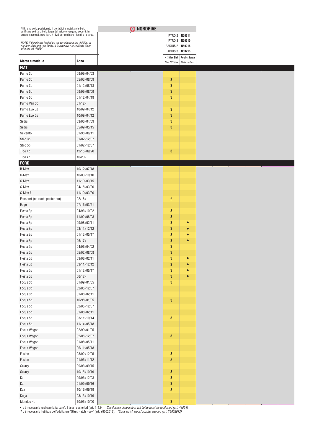| N.B.: una volta posizionato il portabici e installate le bici,<br>verificare se i fanali e la targa del veicolo vengono coperti. In<br>questo caso utilizzare l'art. 41524 per replicare i fanali e la targa. |               | O NORDRIVE |                 |                                                           |  |
|---------------------------------------------------------------------------------------------------------------------------------------------------------------------------------------------------------------|---------------|------------|-----------------|-----------------------------------------------------------|--|
|                                                                                                                                                                                                               |               |            |                 | PYRO 2 N50211                                             |  |
| NOTE: if the bicycle loaded on the car obstruct the visibility of                                                                                                                                             |               |            |                 | PYRO 3 N50210                                             |  |
| number plate and rear lights, it is necessary to replicate them<br>with the art. 41524                                                                                                                        |               |            | RADIUS 2 N50216 |                                                           |  |
|                                                                                                                                                                                                               |               |            | RADIUS 3 N50215 |                                                           |  |
| Marca e modello                                                                                                                                                                                               | Anno          |            |                 | N□Max Bici Replic. targa<br>Max N°Bikes   Plate replicat. |  |
| <b>FIAT</b>                                                                                                                                                                                                   |               |            |                 |                                                           |  |
| Punto 3p                                                                                                                                                                                                      | 09/99>04/03   |            |                 |                                                           |  |
| Punto 3p                                                                                                                                                                                                      | 05/03>08/09   |            | 3               |                                                           |  |
| Punto 3p                                                                                                                                                                                                      | 01/12>08/18   |            | 3               |                                                           |  |
| Punto 5p                                                                                                                                                                                                      | 09/99>08/09   |            | 3               |                                                           |  |
| Punto 5p                                                                                                                                                                                                      | 01/12>04/19   |            | 3               |                                                           |  |
| Punto Van 3p                                                                                                                                                                                                  | 01/12         |            |                 |                                                           |  |
|                                                                                                                                                                                                               | 10/09>04/12   |            | 3               |                                                           |  |
| Punto Evo 3p                                                                                                                                                                                                  |               |            |                 |                                                           |  |
| Punto Evo 5p                                                                                                                                                                                                  | 10/09>04/12   |            | 3               |                                                           |  |
| Sedici                                                                                                                                                                                                        | 03/06>04/09   |            | 3               |                                                           |  |
| Sedici                                                                                                                                                                                                        | 05/09>05/15   |            | 3               |                                                           |  |
| Seicento                                                                                                                                                                                                      | 01/98>06/11   |            |                 |                                                           |  |
| Stilo 3p                                                                                                                                                                                                      | 01/02>12/07   |            |                 |                                                           |  |
| Stilo 5p                                                                                                                                                                                                      | 01/02>12/07   |            |                 |                                                           |  |
| Tipo 4p                                                                                                                                                                                                       | 12/15>09/20   |            | 3               |                                                           |  |
| Tipo 4p                                                                                                                                                                                                       | 10/20         |            |                 |                                                           |  |
| <b>FORD</b>                                                                                                                                                                                                   |               |            |                 |                                                           |  |
| B-Max                                                                                                                                                                                                         | 10/12>07/18   |            |                 |                                                           |  |
| C-Max                                                                                                                                                                                                         | 10/03>10/10   |            |                 |                                                           |  |
| C-Max                                                                                                                                                                                                         | 11/10>03/15   |            |                 |                                                           |  |
| C-Max                                                                                                                                                                                                         | 04/15>03/20   |            |                 |                                                           |  |
| C-Max 7                                                                                                                                                                                                       | 11/10>03/20   |            |                 |                                                           |  |
| Ecosport (no ruota posteriore)                                                                                                                                                                                | 02/18         |            | $\overline{2}$  |                                                           |  |
| Edge                                                                                                                                                                                                          | 07/16>03/21   |            |                 |                                                           |  |
| Fiesta 3p                                                                                                                                                                                                     | 04/96>10/02   |            | $\mathbf{3}$    |                                                           |  |
| Fiesta 3p                                                                                                                                                                                                     | 11/02>08/08   |            | 3               |                                                           |  |
| Fiesta 3p                                                                                                                                                                                                     | 09/08>02/11   |            | 3               |                                                           |  |
|                                                                                                                                                                                                               |               |            | 3               |                                                           |  |
| Fiesta 3p                                                                                                                                                                                                     | 03/11>12/12   |            |                 |                                                           |  |
| Fiesta 3p                                                                                                                                                                                                     | 01/13>05/17   |            | 3               |                                                           |  |
| Fiesta 3p                                                                                                                                                                                                     | 06/17         |            | 3               |                                                           |  |
| Fiesta 5p                                                                                                                                                                                                     | 04/96>04/02   |            | 3               |                                                           |  |
| Fiesta 5p                                                                                                                                                                                                     | 05/02>08/08   |            | 3               |                                                           |  |
| Fiesta 5p                                                                                                                                                                                                     | 09/08>02/11   |            | 3               | $\bullet$                                                 |  |
| Fiesta 5p                                                                                                                                                                                                     | 03/11 > 12/12 |            | $\bf{3}$        |                                                           |  |
| Fiesta 5p                                                                                                                                                                                                     | 01/13 > 05/17 |            | 3               |                                                           |  |
| Fiesta 5p                                                                                                                                                                                                     | 06/17         |            | 3               | $\bullet$                                                 |  |
| Focus 3p                                                                                                                                                                                                      | 01/99>01/05   |            | $\mathbf{3}$    |                                                           |  |
| Focus 3p                                                                                                                                                                                                      | 02/05>12/07   |            |                 |                                                           |  |
| Focus 3p                                                                                                                                                                                                      | 01/08>02/11   |            |                 |                                                           |  |
| Focus 5p                                                                                                                                                                                                      | 10/98>01/05   |            | $\bf{3}$        |                                                           |  |
| Focus 5p                                                                                                                                                                                                      | 02/05>12/07   |            |                 |                                                           |  |
| Focus 5p                                                                                                                                                                                                      | 01/08>02/11   |            |                 |                                                           |  |
|                                                                                                                                                                                                               |               |            |                 |                                                           |  |
| Focus 5p                                                                                                                                                                                                      | 03/11 > 10/14 |            | 3               |                                                           |  |
| Focus 5p                                                                                                                                                                                                      | 11/14 > 05/18 |            |                 |                                                           |  |
| Focus Wagon                                                                                                                                                                                                   | 02/99>01/05   |            |                 |                                                           |  |
| Focus Wagon                                                                                                                                                                                                   | 02/05>12/07   |            | $\bf{3}$        |                                                           |  |
| Focus Wagon                                                                                                                                                                                                   | 01/08>05/11   |            |                 |                                                           |  |
| Focus Wagon                                                                                                                                                                                                   | 06/11>05/18   |            |                 |                                                           |  |
| Fusion                                                                                                                                                                                                        | 08/02>12/05   |            | $\mathbf 3$     |                                                           |  |
| Fusion                                                                                                                                                                                                        | 01/06>11/12   |            | 3               |                                                           |  |
| Galaxy                                                                                                                                                                                                        | 09/06>09/15   |            |                 |                                                           |  |
| Galaxy                                                                                                                                                                                                        | 10/15 > 10/19 |            | 3               |                                                           |  |
| Ka                                                                                                                                                                                                            | 09/96>12/08   |            | $\mathbf{3}$    |                                                           |  |
| Ka                                                                                                                                                                                                            | 01/09>09/16   |            | 3               |                                                           |  |
| Ka+                                                                                                                                                                                                           | 10/16>09/19   |            | $\mathbf 3$     |                                                           |  |
| Kuga                                                                                                                                                                                                          | 03/13 > 10/19 |            |                 |                                                           |  |
| Mondeo 4p                                                                                                                                                                                                     | 10/96>10/00   |            | $\mathbf 3$     |                                                           |  |
|                                                                                                                                                                                                               |               |            |                 |                                                           |  |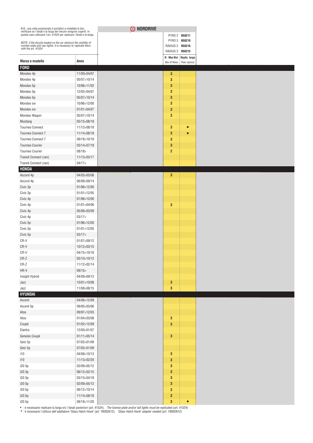| N.B.: una volta posizionato il portabici e installate le bici,<br>verificare se i fanali e la targa del veicolo vengono coperti. In<br>questo caso utilizzare l'art. 41524 per replicare i fanali e la targa. |                              | O NORDRIVE |                                    |                          |
|---------------------------------------------------------------------------------------------------------------------------------------------------------------------------------------------------------------|------------------------------|------------|------------------------------------|--------------------------|
|                                                                                                                                                                                                               |                              |            |                                    | PYRO 2 N50211            |
| NOTE: if the bicycle loaded on the car obstruct the visibility of                                                                                                                                             |                              |            |                                    | PYRO 3 N50210            |
| number plate and rear lights, it is necessary to replicate them<br>with the art. 41524                                                                                                                        |                              |            | RADIUS 2 N50216<br>RADIUS 3 N50215 |                          |
|                                                                                                                                                                                                               |                              |            |                                    | N□Max Bici Replic. targa |
| Marca e modello                                                                                                                                                                                               | Anno                         |            | Max N°Bikes                        | Plate replicat.          |
| <b>FORD</b>                                                                                                                                                                                                   |                              |            |                                    |                          |
| Mondeo 4p                                                                                                                                                                                                     | 11/00>04/07                  |            | 3                                  |                          |
| Mondeo 4p                                                                                                                                                                                                     | 05/07>10/14                  |            | 3                                  |                          |
| Mondeo 5p                                                                                                                                                                                                     | 10/96>11/02                  |            | 3                                  |                          |
| Mondeo 5p                                                                                                                                                                                                     | 12/02>04/07                  |            | 3                                  |                          |
| Mondeo 5p                                                                                                                                                                                                     | 05/07>10/14                  |            | 3                                  |                          |
| Mondeo sw                                                                                                                                                                                                     | 10/96>12/00                  |            | 3                                  |                          |
| Mondeo sw                                                                                                                                                                                                     | 01/01>04/07                  |            | 3                                  |                          |
| Mondeo Wagon                                                                                                                                                                                                  | 05/07>10/14                  |            | 3                                  |                          |
| Mustang                                                                                                                                                                                                       | 05/15>08/18                  |            |                                    |                          |
| <b>Tourneo Connect</b>                                                                                                                                                                                        | 11/13>08/18                  |            | 3                                  | $\bullet$                |
| Tourneo Connect 7                                                                                                                                                                                             | 11/14>08/18                  |            | 3                                  |                          |
| Tourneo Connect 7                                                                                                                                                                                             | 09/18>10/19                  |            | 3                                  |                          |
| <b>Tourneo Courier</b>                                                                                                                                                                                        | 03/14>07/18                  |            | 3                                  |                          |
| <b>Tourneo Courier</b>                                                                                                                                                                                        | 08/18                        |            | $\overline{2}$                     |                          |
| Transit Connect (van)                                                                                                                                                                                         | 11/13>03/17                  |            |                                    |                          |
| Transit Connect (van)                                                                                                                                                                                         | 04/17                        |            |                                    |                          |
| <b>HONDA</b>                                                                                                                                                                                                  |                              |            |                                    |                          |
| Accord 4p                                                                                                                                                                                                     | 04/03>05/08<br>06/08>09/14   |            | 3                                  |                          |
| Accord 4p<br>Civic 3p                                                                                                                                                                                         | 01/96>12/00                  |            |                                    |                          |
|                                                                                                                                                                                                               |                              |            |                                    |                          |
| Civic 3p                                                                                                                                                                                                      | 01/01>12/05                  |            |                                    |                          |
| Civic 4p                                                                                                                                                                                                      | 01/96>12/00                  |            | 3                                  |                          |
| Civic 4p                                                                                                                                                                                                      | 01/01>04/06                  |            |                                    |                          |
| Civic 4p                                                                                                                                                                                                      | 05/06>03/09                  |            |                                    |                          |
| Civic 4p                                                                                                                                                                                                      | 03/17                        |            |                                    |                          |
| Civic 5p                                                                                                                                                                                                      | 01/96>12/00<br>01/01 > 12/05 |            |                                    |                          |
| Civic 5p                                                                                                                                                                                                      | 03/17                        |            |                                    |                          |
| Civic 5p<br>CR-V                                                                                                                                                                                              | 01/07>09/12                  |            |                                    |                          |
| CR-V                                                                                                                                                                                                          | 10/12>03/15                  |            |                                    |                          |
| CR-V                                                                                                                                                                                                          | 04/15>10/18                  |            |                                    |                          |
| CR-Z                                                                                                                                                                                                          | 05/10>10/12                  |            |                                    |                          |
| $CR-Z$                                                                                                                                                                                                        | 11/12>02/14                  |            |                                    |                          |
| HR-V                                                                                                                                                                                                          | 09/15                        |            |                                    |                          |
| Insight Hybrid                                                                                                                                                                                                | 04/09>09/13                  |            |                                    |                          |
| Jazz                                                                                                                                                                                                          | 10/01 > 10/08                |            | $\mathbf{3}$                       |                          |
| Jazz                                                                                                                                                                                                          | 11/08>08/15                  |            | $\mathbf{3}$                       |                          |
| <b>HYUNDAI</b>                                                                                                                                                                                                |                              |            |                                    |                          |
| Accent                                                                                                                                                                                                        | 04/06>12/09                  |            |                                    |                          |
| Accent 5p                                                                                                                                                                                                     | 09/95>03/06                  |            |                                    |                          |
| Atos                                                                                                                                                                                                          | 09/97>12/03                  |            |                                    |                          |
| Atos                                                                                                                                                                                                          | 01/04>03/08                  |            | 3                                  |                          |
| Coupè                                                                                                                                                                                                         | 01/02>12/09                  |            | 3                                  |                          |
| Elantra                                                                                                                                                                                                       | 12/00>01/07                  |            |                                    |                          |
| Genesis Coupè                                                                                                                                                                                                 | 01/11>05/14                  |            | $\mathbf 3$                        |                          |
| Getz 3p                                                                                                                                                                                                       | 07/02>01/09                  |            |                                    |                          |
| Getz 5p                                                                                                                                                                                                       | 07/02>01/09                  |            |                                    |                          |
| i10                                                                                                                                                                                                           | 04/08>10/13                  |            | 3                                  |                          |
| i10                                                                                                                                                                                                           | 11/13>02/20                  |            | 3                                  |                          |
| i20 3p                                                                                                                                                                                                        | 02/09>05/12                  |            | 3                                  |                          |
| i20 3p                                                                                                                                                                                                        | 06/12>02/15                  |            | 3                                  |                          |
| i20 3p                                                                                                                                                                                                        | 03/15>04/18                  |            | 3                                  |                          |
| i20 5p                                                                                                                                                                                                        | 02/09>05/12                  |            | $\mathbf{3}$                       |                          |
| i20 5p                                                                                                                                                                                                        | 06/12>10/14                  |            | $\mathbf{3}$                       |                          |
| i20 5p                                                                                                                                                                                                        | 11/14>08/18                  |            | $\bf{3}$                           |                          |
| i20 5p                                                                                                                                                                                                        | 09/18>11/20                  |            | 3                                  | $\bullet$                |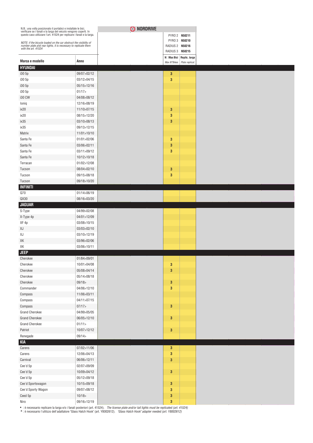| N.B.: una volta posizionato il portabici e installate le bici,<br>verificare se i fanali e la targa del veicolo vengono coperti. In<br>questo caso utilizzare l'art. 41524 per replicare i fanali e la targa. |                            |
|---------------------------------------------------------------------------------------------------------------------------------------------------------------------------------------------------------------|----------------------------|
| NOTE: if the bicycle loaded on the car obstruct the visibility of                                                                                                                                             |                            |
| number plate and rear lights, it is necessary to replicate them<br>with the art. 41524                                                                                                                        |                            |
|                                                                                                                                                                                                               |                            |
| Marca e modello                                                                                                                                                                                               | Anno                       |
| <b>HYUNDAI</b>                                                                                                                                                                                                |                            |
| i30 5p                                                                                                                                                                                                        | 09/07>02/12<br>03/12>04/15 |
| i30 5p<br>i30 5p                                                                                                                                                                                              | 05/15>12/16                |
| i30 5p                                                                                                                                                                                                        | 01/17                      |
| <b>i30 CW</b>                                                                                                                                                                                                 | 04/08>08/12                |
| loniq                                                                                                                                                                                                         | 12/16>08/19                |
| ix20                                                                                                                                                                                                          | 11/10>07/15                |
| ix20                                                                                                                                                                                                          | 08/15>12/20                |
| ix35                                                                                                                                                                                                          | 03/10>08/13                |
| ix35                                                                                                                                                                                                          | 09/13>12/15                |
| Matrix                                                                                                                                                                                                        | 11/01>10/10                |
| Santa Fe                                                                                                                                                                                                      | 01/01>02/06                |
| Santa Fe                                                                                                                                                                                                      | 03/06>02/11                |
| Santa Fe                                                                                                                                                                                                      | 03/11>09/12                |
| Santa Fe                                                                                                                                                                                                      | 10/12>10/18                |
| Terracan                                                                                                                                                                                                      | 01/02>12/08                |
| Tucson                                                                                                                                                                                                        | 08/04>02/10                |
| Tucson                                                                                                                                                                                                        | 09/15>08/18                |
| Tucson                                                                                                                                                                                                        | 09/18>10/20                |
| <b>INFINITI</b>                                                                                                                                                                                               |                            |
| Q70                                                                                                                                                                                                           | 01/14>06/19                |
| QX30                                                                                                                                                                                                          | 08/16>03/20                |
| <b>JAGUAR</b>                                                                                                                                                                                                 |                            |
| S-Type                                                                                                                                                                                                        | 04/99>02/08                |
| X-Type 4p                                                                                                                                                                                                     | 04/01>12/09                |
| XF 4p                                                                                                                                                                                                         | 03/08>10/15                |
| χJ                                                                                                                                                                                                            | 03/03>02/10                |
| χJ                                                                                                                                                                                                            | 03/10>12/19                |
| XK                                                                                                                                                                                                            | 03/96>02/06                |
| ХK                                                                                                                                                                                                            | 03/06>10/11                |
| <b>JEEP</b>                                                                                                                                                                                                   |                            |
| Cherokee                                                                                                                                                                                                      | 01/84>09/01                |
| Cherokee                                                                                                                                                                                                      | 10/01 > 04/08              |
| Cherokee                                                                                                                                                                                                      | 05/08>04/14                |
| Cherokee                                                                                                                                                                                                      | 05/14>08/18                |
| Cherokee                                                                                                                                                                                                      | 09/18                      |
| Commander                                                                                                                                                                                                     | 04/06>12/10                |
| Compass                                                                                                                                                                                                       | 11/06>03/11                |
| Compass                                                                                                                                                                                                       | 04/11 > 07/15              |
| Compass                                                                                                                                                                                                       | 07/17                      |
| <b>Grand Cherokee</b>                                                                                                                                                                                         | 04/99>05/05                |
| <b>Grand Cherokee</b>                                                                                                                                                                                         | 06/05>12/10                |
| <b>Grand Cherokee</b>                                                                                                                                                                                         | 01/11                      |
| Patriot                                                                                                                                                                                                       | 10/07>12/12                |
| Renegade                                                                                                                                                                                                      | 09/14                      |
| KIA                                                                                                                                                                                                           |                            |
| Carens                                                                                                                                                                                                        | 07/02>11/06                |
| Carens                                                                                                                                                                                                        | 12/06>04/13                |
| Carnival                                                                                                                                                                                                      | 06/06>12/11                |
| Cee'd 5p                                                                                                                                                                                                      | 02/07>09/09                |
| Cee'd 5p                                                                                                                                                                                                      | 10/09>04/12                |
| Cee'd 5p                                                                                                                                                                                                      | 05/12>09/18                |
| Cee'd Sportswagon                                                                                                                                                                                             | 10/15>09/18                |
| Cee'd Sporty Wagon                                                                                                                                                                                            | 09/07>08/12                |
| Ceed 5p                                                                                                                                                                                                       | 10/18                      |
| Niro                                                                                                                                                                                                          | 09/16>12/19                |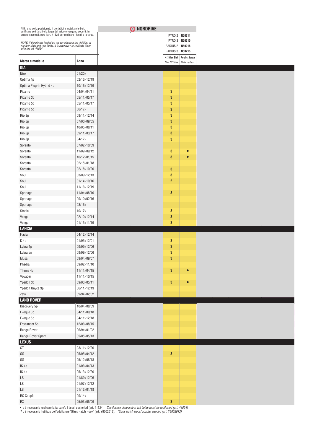| N.B.: una volta posizionato il portabici e installate le bici,<br>verificare se i fanali e la targa del veicolo vengono coperti. In<br>questo caso utilizzare l'art. 41524 per replicare i fanali e la targa. |               |
|---------------------------------------------------------------------------------------------------------------------------------------------------------------------------------------------------------------|---------------|
|                                                                                                                                                                                                               |               |
| NOTE: if the bicycle loaded on the car obstruct the visibility of number plate and rear lights, it is necessary to replicate them                                                                             |               |
| with the art. 41524                                                                                                                                                                                           |               |
| Marca e modello                                                                                                                                                                                               | Anno          |
| <b>KIA</b>                                                                                                                                                                                                    |               |
| Niro                                                                                                                                                                                                          | 01/20         |
| Optima 4p                                                                                                                                                                                                     | 02/16>12/19   |
| Optima Plug-in Hybrid 4p                                                                                                                                                                                      | 10/16>12/19   |
| Picanto                                                                                                                                                                                                       | 04/04>04/11   |
| Picanto 3p                                                                                                                                                                                                    | 05/11>05/17   |
| Picanto 5p                                                                                                                                                                                                    | 05/11>05/17   |
| Picanto 5p                                                                                                                                                                                                    | 06/17         |
| Rio 3p                                                                                                                                                                                                        | 09/11>12/14   |
| Rio 5p                                                                                                                                                                                                        | 07/00>09/05   |
| Rio 5p                                                                                                                                                                                                        | 10/05>08/11   |
| Rio 5p                                                                                                                                                                                                        | 09/11>03/17   |
| Rio 5p                                                                                                                                                                                                        | 04/17         |
| Sorento                                                                                                                                                                                                       | 07/02>10/09   |
| Sorento                                                                                                                                                                                                       | 11/09>09/12   |
| Sorento                                                                                                                                                                                                       | 10/12>01/15   |
| Sorento                                                                                                                                                                                                       | 02/15>01/18   |
| Sorento                                                                                                                                                                                                       | 02/18>10/20   |
| Soul                                                                                                                                                                                                          | 03/09>12/13   |
| Soul                                                                                                                                                                                                          | 01/14>10/16   |
| Soul                                                                                                                                                                                                          | 11/16>12/19   |
| Sportage                                                                                                                                                                                                      | 11/04>08/10   |
| Sportage                                                                                                                                                                                                      | 09/10>02/16   |
| Sportage                                                                                                                                                                                                      | 03/16         |
| Stonic                                                                                                                                                                                                        | 10/17         |
| Venga                                                                                                                                                                                                         | 02/10>12/14   |
| Venga                                                                                                                                                                                                         | 01/15>11/19   |
| <b>LANCIA</b><br>Flavia                                                                                                                                                                                       | 04/12>12/14   |
| K4p                                                                                                                                                                                                           | 01/95>12/01   |
| Lybra 4p                                                                                                                                                                                                      | 09/99>12/06   |
| Lybra sw                                                                                                                                                                                                      | 09/99>12/06   |
| Musa                                                                                                                                                                                                          | 09/04>09/07   |
| Phedra                                                                                                                                                                                                        | 09/02>11/10   |
| Thema 4p                                                                                                                                                                                                      | 11/11 > 04/15 |
| Voyager                                                                                                                                                                                                       | 11/11 > 10/15 |
| Ypsilon 3p                                                                                                                                                                                                    | 09/03>05/11   |
| Ypsilon Unyca 3p                                                                                                                                                                                              | 06/11>12/13   |
| Zeta                                                                                                                                                                                                          | 09/94>02/02   |
| <b>LAND ROVER</b>                                                                                                                                                                                             |               |
| Discovery 5p                                                                                                                                                                                                  | 10/04>08/09   |
| Evoque 3p                                                                                                                                                                                                     | 04/11>09/18   |
| Evoque 5p                                                                                                                                                                                                     | 04/11>12/18   |
| Freelander 5p                                                                                                                                                                                                 | 12/06>08/15   |
| Range Rover                                                                                                                                                                                                   | 06/94>01/02   |
| Range Rover Sport                                                                                                                                                                                             | 05/05>05/13   |
| <b>LEXUS</b>                                                                                                                                                                                                  |               |
| $\mathbb{C} \mathbb{T}$                                                                                                                                                                                       | 03/11>12/20   |
| GS                                                                                                                                                                                                            | 05/05>04/12   |
| GS                                                                                                                                                                                                            | 05/12>08/18   |
| IS 4p                                                                                                                                                                                                         | 01/06>04/13   |
| IS 4p                                                                                                                                                                                                         | 05/13>12/20   |
| LS                                                                                                                                                                                                            | 01/89>12/06   |
| LS                                                                                                                                                                                                            | 01/07>12/12   |
| LS                                                                                                                                                                                                            | 01/13>01/18   |
| RC Coupè                                                                                                                                                                                                      | 09/14         |
| RX                                                                                                                                                                                                            | 05/03>05/09   |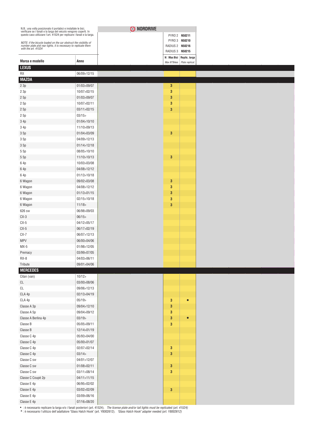|                                                                                                                                                                                                               |               | O NORDRIVE |                 |                                                           |
|---------------------------------------------------------------------------------------------------------------------------------------------------------------------------------------------------------------|---------------|------------|-----------------|-----------------------------------------------------------|
| N.B.: una volta posizionato il portabici e installate le bici,<br>verificare se i fanali e la targa del veicolo vengono coperti. In<br>questo caso utilizzare l'art. 41524 per replicare i fanali e la targa. |               |            | PYRO 2 N50211   |                                                           |
|                                                                                                                                                                                                               |               |            | PYRO 3 N50210   |                                                           |
| NOTE: if the bicycle loaded on the car obstruct the visibility of number plate and rear lights, it is necessary to replicate them<br>with the art. 41524                                                      |               |            | RADIUS 2 N50216 |                                                           |
|                                                                                                                                                                                                               |               |            | RADIUS 3 N50215 |                                                           |
| Marca e modello                                                                                                                                                                                               | Anno          |            |                 | N□Max Bici Replic. targa<br>Max N°Bikes   Plate replicat. |
| <b>LEXUS</b>                                                                                                                                                                                                  |               |            |                 |                                                           |
| <b>RX</b>                                                                                                                                                                                                     | 06/09>12/15   |            |                 |                                                           |
| <b>MAZDA</b>                                                                                                                                                                                                  |               |            |                 |                                                           |
| 23p                                                                                                                                                                                                           | 01/03>09/07   |            | 3               |                                                           |
| 23p                                                                                                                                                                                                           | 10/07>02/15   |            | 3               |                                                           |
| 25p                                                                                                                                                                                                           | 01/03>09/07   |            | 3               |                                                           |
| 25p                                                                                                                                                                                                           | 10/07>02/11   |            | 3               |                                                           |
| 25p                                                                                                                                                                                                           | 03/11>02/15   |            | 3               |                                                           |
| 2 5p                                                                                                                                                                                                          | 03/15         |            |                 |                                                           |
| 3 4p                                                                                                                                                                                                          | 01/04>10/10   |            |                 |                                                           |
| 3 4p                                                                                                                                                                                                          | 11/10>09/13   |            |                 |                                                           |
| 35p                                                                                                                                                                                                           | 01/04>03/09   |            | 3               |                                                           |
| 35p                                                                                                                                                                                                           | 04/09>12/13   |            |                 |                                                           |
| 35p                                                                                                                                                                                                           | 01/14 > 12/18 |            |                 |                                                           |
| 5 5p                                                                                                                                                                                                          | 08/05>10/10   |            |                 |                                                           |
| 55p                                                                                                                                                                                                           | 11/10>10/13   |            | 3               |                                                           |
| 6 4p                                                                                                                                                                                                          | 10/03>03/08   |            |                 |                                                           |
| 64p                                                                                                                                                                                                           | 04/08>12/12   |            |                 |                                                           |
| 6 4p                                                                                                                                                                                                          | 01/13>10/18   |            |                 |                                                           |
| 6 Wagon                                                                                                                                                                                                       | 09/02>03/08   |            | $\mathbf{3}$    |                                                           |
| 6 Wagon                                                                                                                                                                                                       | 04/08>12/12   |            | 3               |                                                           |
| 6 Wagon                                                                                                                                                                                                       | 01/13>01/15   |            | 3               |                                                           |
| 6 Wagon                                                                                                                                                                                                       | 02/15>10/18   |            | 3               |                                                           |
| 6 Wagon                                                                                                                                                                                                       | 11/18         |            | 3               |                                                           |
| 626 sw                                                                                                                                                                                                        | 06/98>09/03   |            |                 |                                                           |
| $CX-3$                                                                                                                                                                                                        | 06/15         |            |                 |                                                           |
| $CX-5$                                                                                                                                                                                                        | 04/12>05/17   |            |                 |                                                           |
| $CX-5$                                                                                                                                                                                                        | 06/17>02/19   |            |                 |                                                           |
| $CX-7$                                                                                                                                                                                                        | 06/07>12/13   |            |                 |                                                           |
| <b>MPV</b>                                                                                                                                                                                                    | 06/00>04/06   |            |                 |                                                           |
| $MX-5$                                                                                                                                                                                                        | 01/98>12/05   |            |                 |                                                           |
| Premacy                                                                                                                                                                                                       | 03/99>07/05   |            |                 |                                                           |
| RX-8                                                                                                                                                                                                          | 04/03>06/11   |            |                 |                                                           |
| Tribute                                                                                                                                                                                                       | 09/01>04/06   |            |                 |                                                           |
| <b>MERCEDES</b>                                                                                                                                                                                               |               |            |                 |                                                           |
| Citan (van)                                                                                                                                                                                                   | 10/12         |            |                 |                                                           |
| CL                                                                                                                                                                                                            | 03/00>08/06   |            |                 |                                                           |
| $\mathbb{C}\mathsf{L}$                                                                                                                                                                                        | 09/06>12/13   |            |                 |                                                           |
| CLA 4p                                                                                                                                                                                                        | 02/13>04/19   |            |                 |                                                           |
| CLA 4p                                                                                                                                                                                                        | 05/19         |            | 3               | $\bullet$                                                 |
| Classe A 3p                                                                                                                                                                                                   | 09/04>12/10   |            | $\bf{3}$        |                                                           |
| Classe A 5p                                                                                                                                                                                                   | 09/04>09/12   |            | 3               |                                                           |
| Classe A Berlina 4p                                                                                                                                                                                           | 03/19         |            | 3               |                                                           |
| Classe B                                                                                                                                                                                                      | 05/05>09/11   |            | $\mathbf{3}$    |                                                           |
| Classe B                                                                                                                                                                                                      | 12/14>01/19   |            |                 |                                                           |
| Classe C 4p                                                                                                                                                                                                   | 05/93>04/00   |            |                 |                                                           |
| Classe C 4p                                                                                                                                                                                                   | 05/00>01/07   |            |                 |                                                           |
| Classe C 4p                                                                                                                                                                                                   | 02/07>02/14   |            | $\mathbf 3$     |                                                           |
| Classe C 4p                                                                                                                                                                                                   | 03/14         |            | $\mathbf 3$     |                                                           |
| Classe C sw                                                                                                                                                                                                   | 04/01>12/07   |            |                 |                                                           |
| Classe C sw                                                                                                                                                                                                   | 01/08>02/11   |            | 3               |                                                           |
| Classe C sw                                                                                                                                                                                                   | 03/11>08/14   |            | $\mathbf{3}$    |                                                           |
| Classe C Coupè 2p                                                                                                                                                                                             | 04/11>11/15   |            |                 |                                                           |
| Classe E 4p                                                                                                                                                                                                   | 06/95>02/02   |            |                 |                                                           |
| Classe E 4p                                                                                                                                                                                                   | 03/02>02/09   |            | 3               |                                                           |
| Classe E 4p                                                                                                                                                                                                   | 03/09>06/16   |            |                 |                                                           |
| Classe E $4p$                                                                                                                                                                                                 | 07/16>08/20   |            |                 |                                                           |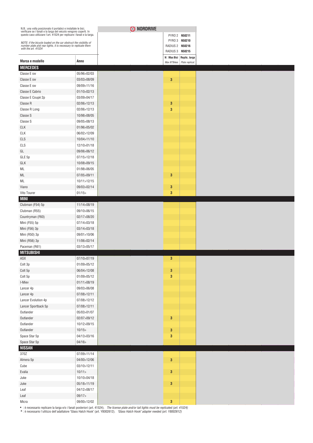| N.B.: una volta posizionato il portabici e installate le bici,<br>verificare se i fanali e la targa del veicolo vengono coperti. In<br>questo caso utilizzare l'art. 41524 per replicare i fanali e la targa. |             |
|---------------------------------------------------------------------------------------------------------------------------------------------------------------------------------------------------------------|-------------|
|                                                                                                                                                                                                               |             |
| NOTE: if the bicycle loaded on the car obstruct the visibility of number plate and rear lights, it is necessary to replicate them                                                                             |             |
| with the art. 41524                                                                                                                                                                                           |             |
|                                                                                                                                                                                                               |             |
| Marca e modello<br><b>MERCEDES</b>                                                                                                                                                                            | Anno        |
| Classe E sw                                                                                                                                                                                                   | 05/96>02/03 |
| Classe E sw                                                                                                                                                                                                   | 03/03>08/09 |
| Classe E sw                                                                                                                                                                                                   | 09/09>11/16 |
| Classe E Cabrio                                                                                                                                                                                               | 01/10>02/13 |
| Classe E Coupè 2p                                                                                                                                                                                             | 03/09>04/17 |
| Classe R                                                                                                                                                                                                      | 02/06>12/13 |
| Classe R Long                                                                                                                                                                                                 | 02/06>12/13 |
| Classe S                                                                                                                                                                                                      | 10/98>08/05 |
| Classe S                                                                                                                                                                                                      | 09/05>08/13 |
| <b>CLK</b>                                                                                                                                                                                                    | 01/96>05/02 |
| <b>CLK</b>                                                                                                                                                                                                    | 06/02>12/09 |
| CLS                                                                                                                                                                                                           | 10/04>11/10 |
| CLS                                                                                                                                                                                                           | 12/10>01/18 |
| GL                                                                                                                                                                                                            | 09/06>06/12 |
| GLE 5p                                                                                                                                                                                                        | 07/15>12/18 |
| GLK                                                                                                                                                                                                           | 10/08>09/15 |
| ML                                                                                                                                                                                                            | 01/98>06/05 |
| ML                                                                                                                                                                                                            | 07/05>09/11 |
| ML                                                                                                                                                                                                            | 10/11>12/15 |
| Viano                                                                                                                                                                                                         | 09/03>02/14 |
| Vito Tourer                                                                                                                                                                                                   | 01/15       |
| <b>MINI</b>                                                                                                                                                                                                   |             |
| Clubman (F54) 5p                                                                                                                                                                                              | 11/14>08/19 |
| Clubman (R55)                                                                                                                                                                                                 | 09/10>06/15 |
| Countryman (F60)                                                                                                                                                                                              | 02/17>08/20 |
| Mini (F55) 5p                                                                                                                                                                                                 | 07/14>03/18 |
| Mini (F56) 3p                                                                                                                                                                                                 | 03/14>03/18 |
| Mini (R50) 3p                                                                                                                                                                                                 | 09/01>10/06 |
| Mini (R56) 3p                                                                                                                                                                                                 | 11/06>02/14 |
| Paceman (R61)                                                                                                                                                                                                 | 03/13>05/17 |
| <b>MITSUBISHI</b>                                                                                                                                                                                             |             |
| ASX                                                                                                                                                                                                           | 07/10>07/19 |
| Colt 3p                                                                                                                                                                                                       | 01/09>05/12 |
| Colt 5p                                                                                                                                                                                                       | 06/04>12/08 |
| Colt 5p                                                                                                                                                                                                       | 01/09>05/12 |
| I-Miev                                                                                                                                                                                                        | 01/11>08/19 |
| Lancer 4p                                                                                                                                                                                                     | 09/03>06/08 |
| Lancer 4p                                                                                                                                                                                                     | 07/08>12/11 |
| Lancer Evolution 4p                                                                                                                                                                                           | 07/08>12/12 |
| Lancer Sportback 5p                                                                                                                                                                                           | 07/08>12/11 |
| Outlander                                                                                                                                                                                                     | 05/03>01/07 |
| Outlander                                                                                                                                                                                                     | 02/07>09/12 |
| Outlander                                                                                                                                                                                                     | 10/12>09/15 |
| Outlander                                                                                                                                                                                                     | 10/15       |
| Space Star 5p                                                                                                                                                                                                 | 04/13>03/16 |
| Space Star 5p                                                                                                                                                                                                 | 04/16       |
| <b>NISSAN</b>                                                                                                                                                                                                 |             |
| 370Z                                                                                                                                                                                                          | 07/09>11/14 |
| Almera 5p                                                                                                                                                                                                     | 04/00>12/06 |
| Cube                                                                                                                                                                                                          | 03/10>12/11 |
| Evalia                                                                                                                                                                                                        | 10/11 >     |
| Juke                                                                                                                                                                                                          | 10/10>04/18 |
| Juke                                                                                                                                                                                                          | 05/18>11/19 |
| Leaf                                                                                                                                                                                                          | 04/12>08/17 |
| Leaf                                                                                                                                                                                                          | 09/17       |
| Micra                                                                                                                                                                                                         | 09/00>12/02 |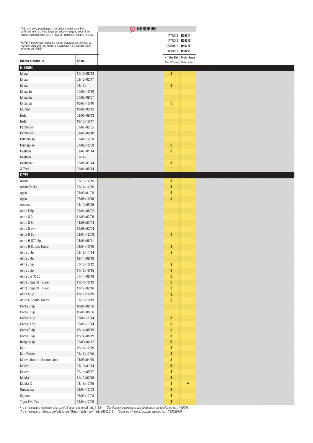| N.B.: una volta posizionato il portabici e installate le bici,<br>verificare se i fanali e la targa del veicolo vengono coperti. In<br>questo caso utilizzare l'art. 41524 per replicare i fanali e la targa. |             |
|---------------------------------------------------------------------------------------------------------------------------------------------------------------------------------------------------------------|-------------|
|                                                                                                                                                                                                               |             |
| NOTE: if the bicycle loaded on the car obstruct the visibility of                                                                                                                                             |             |
| number plate and rear lights, it is necessary to replicate them<br>with the art. 41524                                                                                                                        |             |
|                                                                                                                                                                                                               |             |
| Marca e modello                                                                                                                                                                                               | Anno        |
| <b>NISSAN</b>                                                                                                                                                                                                 |             |
| Micra                                                                                                                                                                                                         | 11/10>08/13 |
| Micra                                                                                                                                                                                                         | 09/13>02/17 |
| Micra                                                                                                                                                                                                         | 03/17       |
| Micra 3p                                                                                                                                                                                                      | 01/03>10/10 |
| Micra 5p                                                                                                                                                                                                      | 01/03>09/07 |
| Micra 5p                                                                                                                                                                                                      | 10/07>10/10 |
| Murano                                                                                                                                                                                                        | 10/08>05/15 |
| Note                                                                                                                                                                                                          | 03/06>09/13 |
| Note                                                                                                                                                                                                          | 10/13>10/17 |
| Pathfinder                                                                                                                                                                                                    | 01/97>02/05 |
| Pathfinder                                                                                                                                                                                                    | 03/05>09/10 |
| Primera 4p                                                                                                                                                                                                    | 01/02>12/08 |
| Primera sw                                                                                                                                                                                                    | 01/02>12/08 |
| Qashqai                                                                                                                                                                                                       | 03/07>01/14 |
| Qashqai                                                                                                                                                                                                       | 01/14       |
| Qashqai+2                                                                                                                                                                                                     | 09/08>01/14 |
| X-Trail                                                                                                                                                                                                       | 09/01>05/14 |
| <b>OPEL</b>                                                                                                                                                                                                   |             |
| Adam                                                                                                                                                                                                          | 02/13>12/19 |
| <b>Adam Rocks</b>                                                                                                                                                                                             | 09/14>12/19 |
| Agila                                                                                                                                                                                                         | 05/00>01/08 |
| Agila                                                                                                                                                                                                         | 02/08>10/15 |
| Ampera                                                                                                                                                                                                        | 03/12>05/15 |
| Astra F 5p                                                                                                                                                                                                    | 09/91>08/02 |
| Astra G 3p                                                                                                                                                                                                    | 11/00>03/05 |
| Astra G 5p                                                                                                                                                                                                    | 04/98>02/04 |
| Astra G sw                                                                                                                                                                                                    | 10/98>02/04 |
| Astra H 5p                                                                                                                                                                                                    | 03/04>12/09 |
| Astra H GTC 3p                                                                                                                                                                                                | 04/05>08/11 |
| Astra H Sports Tourer                                                                                                                                                                                         | 03/04>10/10 |
| Astra J 4p                                                                                                                                                                                                    | 09/12>11/14 |
| Astra J 4p                                                                                                                                                                                                    | 12/14>08/18 |
| Astra J 5p                                                                                                                                                                                                    | 01/10>10/12 |
| Astra J 5p                                                                                                                                                                                                    | 11/12>10/15 |
| Astra J GTC 3p                                                                                                                                                                                                | 01/14>08/18 |
| Astra J Sports Tourer                                                                                                                                                                                         | 11/10>10/12 |
| Astra J Sports Tourer                                                                                                                                                                                         | 11/12>02/16 |
| Astra K 5p                                                                                                                                                                                                    | 11/15>10/19 |
| Astra K Sports Tourer                                                                                                                                                                                         | 03/16>10/19 |
| Corsa C 3p                                                                                                                                                                                                    | 10/00>08/06 |
| Corsa C 5p                                                                                                                                                                                                    | 10/00>08/06 |
| Corsa D 3p                                                                                                                                                                                                    | 09/06>11/14 |
| Corsa D 5p                                                                                                                                                                                                    | 09/06>11/14 |
| Corsa E 3p                                                                                                                                                                                                    | 12/14>08/19 |
| Corsa E 5p                                                                                                                                                                                                    | 12/14>08/19 |
| Insignia 4p                                                                                                                                                                                                   | 02/09>04/17 |
| Karl                                                                                                                                                                                                          | 12/14>12/19 |
| Karl Rocks                                                                                                                                                                                                    | 03/17>12/19 |
| Meriva (No profilo cromato)                                                                                                                                                                                   | 04/03>04/10 |
| Meriva                                                                                                                                                                                                        | 05/10>01/14 |
| Meriva                                                                                                                                                                                                        | 02/14>05/17 |
| Mokka                                                                                                                                                                                                         | 11/12>03/16 |
| Mokka X                                                                                                                                                                                                       | 04/16>12/19 |
| Omega sw                                                                                                                                                                                                      | 06/94>12/03 |
| Signum                                                                                                                                                                                                        | 06/03>12/08 |
| Tigra TwinTop                                                                                                                                                                                                 | 09/04>12/09 |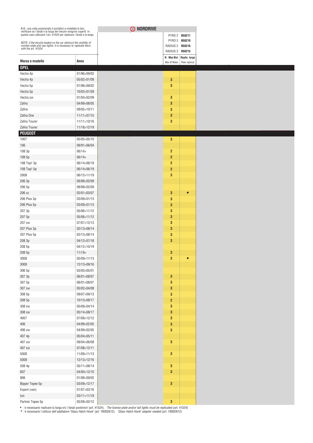| N.B.: una volta posizionato il portabici e installate le bici,<br>verificare se i fanali e la targa del veicolo vengono coperti. In<br>questo caso utilizzare l'art. 41524 per replicare i fanali e la targa. |                            |
|---------------------------------------------------------------------------------------------------------------------------------------------------------------------------------------------------------------|----------------------------|
|                                                                                                                                                                                                               |                            |
| NOTE: if the bicycle loaded on the car obstruct the visibility of                                                                                                                                             |                            |
| number plate and rear lights, it is necessary to replicate them<br>with the art. 41524                                                                                                                        |                            |
|                                                                                                                                                                                                               |                            |
| Marca e modello                                                                                                                                                                                               | Anno                       |
| <b>OPEL</b>                                                                                                                                                                                                   |                            |
| Vectra 4p                                                                                                                                                                                                     | 01/96>09/02                |
| Vectra 4p                                                                                                                                                                                                     | 05/02>01/09                |
| Vectra 5p                                                                                                                                                                                                     | 01/96>09/02                |
| Vectra 5p                                                                                                                                                                                                     | 10/02>01/09                |
| Vectra sw                                                                                                                                                                                                     | 01/04>02/09                |
| Zafira                                                                                                                                                                                                        | 04/99>08/05                |
| Zafira                                                                                                                                                                                                        | 09/05>10/11                |
| Zafira One                                                                                                                                                                                                    | 11/11>07/15                |
| Zafira Tourer                                                                                                                                                                                                 | 11/11>10/16                |
| Zafira Tourer<br><b>PEUGEOT</b>                                                                                                                                                                               | 11/16>12/19                |
| 1007                                                                                                                                                                                                          | 05/05>05/10                |
| 106                                                                                                                                                                                                           | 09/91>06/04                |
| 108 3p                                                                                                                                                                                                        | 06/14                      |
| 108 5p                                                                                                                                                                                                        | 06/14                      |
| 108 Top! 3p                                                                                                                                                                                                   | 06/14>06/19                |
| 108 Top! 5p                                                                                                                                                                                                   | 06/14>06/19                |
| 2008                                                                                                                                                                                                          | 06/13>11/19                |
| 206 3p                                                                                                                                                                                                        | 09/98>02/09                |
| 206 5p                                                                                                                                                                                                        | 09/98>02/09                |
| 206 cc                                                                                                                                                                                                        | 02/01>03/07                |
| 206 Plus 3p                                                                                                                                                                                                   | 03/09>01/13                |
| 206 Plus 5p                                                                                                                                                                                                   | 03/09>01/13                |
| 207 3p                                                                                                                                                                                                        | 05/06>11/12                |
| 207 5p                                                                                                                                                                                                        | 05/06>11/12                |
| 207 sw                                                                                                                                                                                                        | 07/07>12/13                |
| 207 Plus 3p                                                                                                                                                                                                   | 02/13>08/14                |
| 207 Plus 5p                                                                                                                                                                                                   | 02/13>08/14                |
| 208 3p                                                                                                                                                                                                        | 04/12>07/18                |
| 208 5p                                                                                                                                                                                                        | 04/12>10/19                |
| 208 5p                                                                                                                                                                                                        | 11/19                      |
| 3008                                                                                                                                                                                                          | 05/09>11/13                |
| 3008                                                                                                                                                                                                          | 12/13>09/16                |
| 306 5p                                                                                                                                                                                                        | 03/93>05/01                |
| 307 3p                                                                                                                                                                                                        | 06/01>08/07                |
| 307 5p                                                                                                                                                                                                        | 06/01>08/07                |
| 307 sw                                                                                                                                                                                                        | 05/02>04/08                |
| 308 5p                                                                                                                                                                                                        | 09/07>09/13                |
| 308 5p                                                                                                                                                                                                        | 10/13>08/17                |
| 308 sw                                                                                                                                                                                                        | 05/08>04/14                |
| 308 sw                                                                                                                                                                                                        | 05/14>08/17                |
| 4007                                                                                                                                                                                                          | 07/08>12/12                |
| 406                                                                                                                                                                                                           | 04/99>02/05                |
| 406 sw                                                                                                                                                                                                        | 04/99>02/05                |
| 407 4p                                                                                                                                                                                                        | 05/04>05/11                |
| 407 sw                                                                                                                                                                                                        | 09/04>06/08                |
| 407 sw                                                                                                                                                                                                        | 07/08>12/11                |
| 5008                                                                                                                                                                                                          | 11/09>11/13                |
| 5008                                                                                                                                                                                                          | 12/13>12/16                |
| 508 4p                                                                                                                                                                                                        | 03/11>08/14                |
| 607<br>806                                                                                                                                                                                                    | 04/00>12/10<br>01/98>09/02 |
| Bipper Tepee 5p                                                                                                                                                                                               | 03/09>12/17                |
| Expert (van)                                                                                                                                                                                                  | 01/07>03/16                |
| lon                                                                                                                                                                                                           | 03/11>11/19                |
| Partner Tepee 5p                                                                                                                                                                                              | 05/08>02/12                |
|                                                                                                                                                                                                               |                            |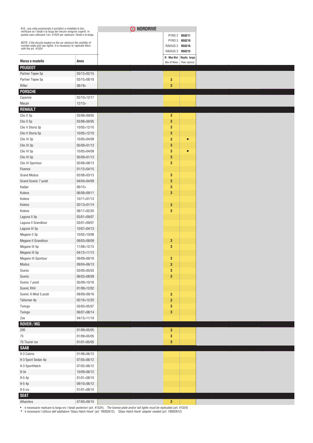| N.B.: una volta posizionato il portabici e installate le bici,<br>verificare se i fanali e la targa del veicolo vengono coperti. In<br>questo caso utilizzare l'art. 41524 per replicare i fanali e la targa. |                      | O NORDRIVE |                 |                          |
|---------------------------------------------------------------------------------------------------------------------------------------------------------------------------------------------------------------|----------------------|------------|-----------------|--------------------------|
|                                                                                                                                                                                                               |                      |            |                 | PYRO 2 N50211            |
| NOTE: if the bicycle loaded on the car obstruct the visibility of<br>number plate and rear lights, it is necessary to replicate them                                                                          |                      |            | RADIUS 2 N50216 | PYRO 3 N50210            |
| with the art. 41524                                                                                                                                                                                           |                      |            | RADIUS 3 N50215 |                          |
|                                                                                                                                                                                                               |                      |            |                 | N□Max Bici Replic. targa |
| Marca e modello                                                                                                                                                                                               | Anno                 |            | Max N°Bikes     | Plate replicat.          |
| <b>PEUGEOT</b>                                                                                                                                                                                                |                      |            |                 |                          |
| Partner Tepee 5p                                                                                                                                                                                              | 03/12>02/15          |            |                 |                          |
| Partner Tepee 5p<br>Rifter                                                                                                                                                                                    | 03/15>08/18<br>08/18 |            | 3<br>3          |                          |
| <b>PORSCHE</b>                                                                                                                                                                                                |                      |            |                 |                          |
| Cayenne                                                                                                                                                                                                       | 02/10>12/17          |            |                 |                          |
| Macan                                                                                                                                                                                                         | 12/13                |            |                 |                          |
| <b>RENAULT</b>                                                                                                                                                                                                |                      |            |                 |                          |
| Clio II 3p                                                                                                                                                                                                    | 03/98>09/05          |            | 3               |                          |
| Clio II 5p                                                                                                                                                                                                    | 03/98>09/05          |            | 3               |                          |
| Clio II Storia 3p                                                                                                                                                                                             | 10/05>12/10          |            | 3               |                          |
| Clio II Storia 5p                                                                                                                                                                                             | 10/05>12/10          |            | 3               |                          |
| Clio III 3p                                                                                                                                                                                                   | 10/05>04/09          |            | 3               | $\bullet$                |
| Clio III 3p                                                                                                                                                                                                   | 05/09>01/13          |            | 3               |                          |
| Clio III 5p                                                                                                                                                                                                   | 10/05>04/09          |            | 3               |                          |
| Clio III 5p                                                                                                                                                                                                   | 05/09>01/13          |            | 3               |                          |
| Clio III Sportour                                                                                                                                                                                             | 02/08>08/13          |            | 3               |                          |
| Fluence                                                                                                                                                                                                       | 01/12>04/15          |            |                 |                          |
| <b>Grand Modus</b>                                                                                                                                                                                            | 02/08>03/13          |            | 3               |                          |
| Grand Scenic 7 posti                                                                                                                                                                                          | 04/04>04/09          |            | 3               |                          |
| Kadjar                                                                                                                                                                                                        | 06/15                |            | 3               |                          |
| Koleos                                                                                                                                                                                                        | 06/08>09/11          |            | 3               |                          |
| Koleos                                                                                                                                                                                                        | 10/11>01/13          |            |                 |                          |
| Koleos                                                                                                                                                                                                        | 02/13>01/14          |            | 3               |                          |
| Koleos                                                                                                                                                                                                        | 08/17>02/20          |            | 3               |                          |
| Laguna II 5p                                                                                                                                                                                                  | 03/01>09/07          |            |                 |                          |
| Laguna II Grandtour                                                                                                                                                                                           | 03/01>09/07          |            |                 |                          |
| Laguna III 5p                                                                                                                                                                                                 | 10/07>04/13          |            |                 |                          |
| Megane II 3p                                                                                                                                                                                                  | 10/02>10/08          |            |                 |                          |
| Megane II Grandtour                                                                                                                                                                                           | 09/03>08/09          |            | 3               |                          |
| Megane III 5p                                                                                                                                                                                                 | 11/08>12/15          |            | 3               |                          |
| Megane III 5p                                                                                                                                                                                                 | 04/12>11/13          |            |                 |                          |
| Megane III Sportour                                                                                                                                                                                           | 09/09>09/16          |            | 3               |                          |
| Modus                                                                                                                                                                                                         | 09/04>06/13          |            | $\bf{3}$        |                          |
| Scenic                                                                                                                                                                                                        | 03/00>05/03          |            | 3               |                          |
| Scenic                                                                                                                                                                                                        | 06/03>08/09          |            | $\mathbf{3}$    |                          |
| Scenic 7 posti                                                                                                                                                                                                | 05/09>10/16          |            |                 |                          |
| Scenic RX4                                                                                                                                                                                                    | 01/99>12/02          |            |                 |                          |
| Scenic X-Mod 5 posti                                                                                                                                                                                          | 09/09>09/16          |            | 3               |                          |
| Talisman 4p                                                                                                                                                                                                   | 02/16>12/20          |            | 3               |                          |
| Twingo                                                                                                                                                                                                        | 03/93>05/07          |            | 3               |                          |
| Twingo                                                                                                                                                                                                        | 06/07>08/14          |            | $\mathbf{3}$    |                          |
| Zoe                                                                                                                                                                                                           | 04/13>11/19          |            |                 |                          |
| ROVER / MG                                                                                                                                                                                                    |                      |            |                 |                          |
| 200                                                                                                                                                                                                           | 01/99>05/05          |            | 3               |                          |
| 75                                                                                                                                                                                                            | 01/99>05/05          |            | 3               |                          |
| 75 Tourer sw                                                                                                                                                                                                  | 01/01 > 05/05        |            | 3               |                          |
| <b>SAAB</b>                                                                                                                                                                                                   |                      |            |                 |                          |
| 9-3 Cabrio                                                                                                                                                                                                    | 01/98>06/12          |            |                 |                          |
| 9-3 Sport Sedan 4p                                                                                                                                                                                            | 07/05>06/12          |            |                 |                          |
| 9-3 SportHatch                                                                                                                                                                                                | 07/02>06/12          |            |                 |                          |
| $9-3x$                                                                                                                                                                                                        | 10/09>06/12          |            |                 |                          |
| $9-54p$                                                                                                                                                                                                       | 01/01 > 08/10        |            |                 |                          |
| $9-54p$                                                                                                                                                                                                       | 09/10>06/12          |            |                 |                          |
| 9-5 sw                                                                                                                                                                                                        | 01/01>08/10          |            |                 |                          |
| <b>SEAT</b>                                                                                                                                                                                                   |                      |            |                 |                          |
| Alhambra                                                                                                                                                                                                      | 07/00>09/10          |            | $\mathbf{3}$    |                          |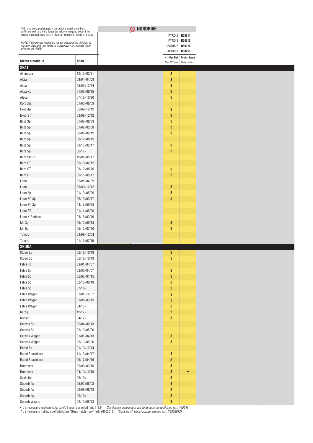| O NORDRIVE<br>N.B.: una volta posizionato il portabici e installate le bici,<br>verificare se i fanali e la targa del veicolo vengono coperti. In<br>questo caso utilizzare l'art. 41524 per replicare i fanali e la targa. |               |  |                  |                            |
|-----------------------------------------------------------------------------------------------------------------------------------------------------------------------------------------------------------------------------|---------------|--|------------------|----------------------------|
|                                                                                                                                                                                                                             |               |  |                  | PYRO 2 N50211              |
| NOTE: if the bicycle loaded on the car obstruct the visibility of<br>number plate and rear lights, it is necessary to replicate them                                                                                        |               |  | RADIUS 2 N50216  | PYRO 3 N50210              |
| with the art. 41524                                                                                                                                                                                                         |               |  | RADIUS 3 N50215  |                            |
|                                                                                                                                                                                                                             |               |  |                  | N□Max Bici   Replic. targa |
| Marca e modello                                                                                                                                                                                                             | Anno          |  | Max N°Bikes      | Plate replicat.            |
| <b>SEAT</b><br>Alhambra                                                                                                                                                                                                     | 10/10>03/21   |  | 3                |                            |
| Altea                                                                                                                                                                                                                       | 04/04>04/09   |  | 3                |                            |
| Altea                                                                                                                                                                                                                       | 05/09>12/14   |  | $\mathbf{3}$     |                            |
| Altea XL                                                                                                                                                                                                                    | 01/07>06/15   |  | 3                |                            |
| Ateca                                                                                                                                                                                                                       | 07/16>10/20   |  | $\mathbf{3}$     |                            |
| Cordoba                                                                                                                                                                                                                     | 01/03>08/09   |  |                  |                            |
| Exeo 4p                                                                                                                                                                                                                     | 05/09>12/12   |  | 3                |                            |
| Exeo ST                                                                                                                                                                                                                     | 09/09>12/12   |  | $\mathbf{3}$     |                            |
| Ibiza 3p                                                                                                                                                                                                                    | 01/02>08/09   |  | 3                |                            |
| Ibiza 5p                                                                                                                                                                                                                    | 01/02>05/08   |  | 3                |                            |
| Ibiza 5p                                                                                                                                                                                                                    | 06/08>02/12   |  | $\mathbf{3}$     |                            |
| Ibiza 5p                                                                                                                                                                                                                    | 03/12>08/15   |  |                  |                            |
| Ibiza 5p                                                                                                                                                                                                                    | 09/15>05/17   |  | 3                |                            |
| Ibiza 5p                                                                                                                                                                                                                    | 06/17         |  | $\overline{2}$   |                            |
| Ibiza SC 3p                                                                                                                                                                                                                 | 10/08>05/17   |  |                  |                            |
| Ibiza ST                                                                                                                                                                                                                    | 06/10>02/12   |  |                  |                            |
| Ibiza ST                                                                                                                                                                                                                    | 03/12>08/15   |  | $\mathbf{3}$     |                            |
| Ibiza ST                                                                                                                                                                                                                    | 09/15>05/17   |  | $\overline{2}$   |                            |
| Leon                                                                                                                                                                                                                        | 09/05>04/09   |  |                  |                            |
| Leon                                                                                                                                                                                                                        | 05/09>12/12   |  | 3                |                            |
| Leon 5p                                                                                                                                                                                                                     | 01/13>05/20   |  | $\mathbf{3}$     |                            |
| Leon SC 3p                                                                                                                                                                                                                  | 06/13>03/17   |  | 3                |                            |
| Leon SC 3p                                                                                                                                                                                                                  | 04/17>09/18   |  |                  |                            |
| Leon ST                                                                                                                                                                                                                     | 01/14>05/20   |  |                  |                            |
| Leon X-Perience                                                                                                                                                                                                             | 03/15>03/19   |  |                  |                            |
| Mii 3p                                                                                                                                                                                                                      | 05/12>09/18   |  | 3                |                            |
| Mii 5p                                                                                                                                                                                                                      | 05/12>07/20   |  | 3                |                            |
| Toledo                                                                                                                                                                                                                      | 03/99>12/04   |  |                  |                            |
| Toledo                                                                                                                                                                                                                      | 01/13>07/15   |  |                  |                            |
| <b>SKODA</b>                                                                                                                                                                                                                |               |  |                  |                            |
| Citigo 3p                                                                                                                                                                                                                   | 05/12>10/19   |  | 3                |                            |
| Citigo 5p                                                                                                                                                                                                                   | 05/12>10/19   |  | 3                |                            |
| Fabia 4p                                                                                                                                                                                                                    | 09/01>04/07   |  |                  |                            |
| Fabia 5p                                                                                                                                                                                                                    | 02/00>04/07   |  | $\bf{3}$         |                            |
| Fabia 5p                                                                                                                                                                                                                    | 05/07>01/15   |  | 3                |                            |
| Fabia 5p                                                                                                                                                                                                                    | 02/15 > 06/18 |  | $\bf{3}$         |                            |
| Fabia 5p                                                                                                                                                                                                                    | 07/18         |  | $\mathbf{2}$     |                            |
| Fabia Wagon                                                                                                                                                                                                                 | 01/01 > 12/07 |  | $\mathbf{3}$     |                            |
| Fabia Wagon                                                                                                                                                                                                                 | 01/08>03/15   |  | $\mathbf 3$      |                            |
| Fabia Wagon                                                                                                                                                                                                                 | 04/15         |  | $\overline{2}$   |                            |
| Karoq                                                                                                                                                                                                                       | 12/17>        |  | $\boldsymbol{2}$ |                            |
| Kodiaq                                                                                                                                                                                                                      | 04/17         |  | $\mathbf{3}$     |                            |
| Octavia 5p                                                                                                                                                                                                                  | 09/04>02/13   |  |                  |                            |
| Octavia 5p                                                                                                                                                                                                                  | 03/13>05/20   |  |                  |                            |
| Octavia Wagon                                                                                                                                                                                                               | 01/05>04/13   |  | $\mathbf 3$      |                            |
| Octavia Wagon                                                                                                                                                                                                               | 05/13>05/20   |  | $\mathbf 3$      |                            |
| Rapid 5p                                                                                                                                                                                                                    | 01/13>12/14   |  |                  |                            |
| Rapid Spaceback                                                                                                                                                                                                             | 11/13>04/17   |  | $\mathbf 3$      |                            |
| Rapid Spaceback                                                                                                                                                                                                             | 05/17>04/19   |  | $\mathbf 3$      |                            |
| Roomster                                                                                                                                                                                                                    | 09/06>03/10   |  | $\bf{3}$         |                            |
| Roomster                                                                                                                                                                                                                    | 04/10>10/15   |  | $\bf{3}$         |                            |
| Scala 5p                                                                                                                                                                                                                    | 06/19         |  | $\mathbf{3}$     |                            |
| Superb 4p                                                                                                                                                                                                                   | 05/02>08/08   |  | $\mathbf 3$      |                            |
| Superb 4p                                                                                                                                                                                                                   | 09/08 > 08/13 |  | $\mathbf{3}$     |                            |
| Superb 4p                                                                                                                                                                                                                   | 09/19         |  | $\mathbf 2$      |                            |
| Superb Wagon                                                                                                                                                                                                                | 02/10>08/13   |  | $\bf{3}$         |                            |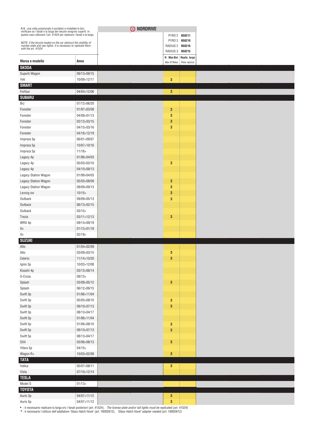| N.B.: una volta posizionato il portabici e installate le bici,<br>verificare se i fanali e la targa del veicolo vengono coperti. In<br>questo caso utilizzare l'art. 41524 per replicare i fanali e la targa. |                            | O NORDRIVE |                 |                               |
|---------------------------------------------------------------------------------------------------------------------------------------------------------------------------------------------------------------|----------------------------|------------|-----------------|-------------------------------|
|                                                                                                                                                                                                               |                            |            |                 | PYRO 2 N50211                 |
| NOTE: if the bicycle loaded on the car obstruct the visibility of number plate and rear lights, it is necessary to replicate them                                                                             |                            |            | RADIUS 2 N50216 | PYRO 3 N50210                 |
| with the art. 41524                                                                                                                                                                                           |                            |            | RADIUS 3 N50215 |                               |
| Marca e modello                                                                                                                                                                                               | Anno                       |            |                 | No Max Bici Replic. targa     |
| <b>SKODA</b>                                                                                                                                                                                                  |                            |            |                 | Max N°Bikes   Plate replicat. |
| Superb Wagon                                                                                                                                                                                                  | 09/13>09/15                |            |                 |                               |
| Yeti                                                                                                                                                                                                          | 10/09>12/17                |            | 3               |                               |
| <b>SMART</b>                                                                                                                                                                                                  |                            |            |                 |                               |
| Forfour                                                                                                                                                                                                       | 04/04>12/06                |            | $\mathbf{3}$    |                               |
| <b>SUBARU</b>                                                                                                                                                                                                 |                            |            |                 |                               |
| Brz                                                                                                                                                                                                           | 07/12>06/20                |            |                 |                               |
| Forester                                                                                                                                                                                                      | 01/97>03/08                |            | 3<br>3          |                               |
| Forester<br>Forester                                                                                                                                                                                          | 04/08>01/13<br>02/13>03/15 |            | 3               |                               |
| Forester                                                                                                                                                                                                      | 04/15>03/16                |            | 3               |                               |
| Forester                                                                                                                                                                                                      | 04/16>12/19                |            |                 |                               |
| Impreza 5p                                                                                                                                                                                                    | 06/01>09/07                |            |                 |                               |
| Impreza 5p                                                                                                                                                                                                    | 10/07>10/16                |            |                 |                               |
| Impreza 5p                                                                                                                                                                                                    | 11/16                      |            |                 |                               |
| Legacy 4p                                                                                                                                                                                                     | 01/96>04/03                |            |                 |                               |
| Legacy 4p                                                                                                                                                                                                     | 05/03>03/10                |            | 3               |                               |
| Legacy 4p                                                                                                                                                                                                     | 04/10>09/13                |            |                 |                               |
| Legacy Station Wagon                                                                                                                                                                                          | 01/99>04/03                |            |                 |                               |
| Legacy Station Wagon                                                                                                                                                                                          | 05/03>08/09                |            | 3               |                               |
| Legacy Station Wagon                                                                                                                                                                                          | 09/09>09/13                |            | 3               |                               |
| Levorg sw                                                                                                                                                                                                     | 10/15                      |            | 3               |                               |
| Outback                                                                                                                                                                                                       | 09/09>05/13                |            | 3               |                               |
| Outback                                                                                                                                                                                                       | 06/13>02/15                |            |                 |                               |
| Outback                                                                                                                                                                                                       | 03/15                      |            |                 |                               |
| Trezia                                                                                                                                                                                                        | 03/11>12/13                |            | $\mathbf{3}$    |                               |
| WRX 4p                                                                                                                                                                                                        | 09/14>09/19                |            |                 |                               |
| Xv                                                                                                                                                                                                            | 01/12>01/18                |            |                 |                               |
| Xv                                                                                                                                                                                                            | 02/18                      |            |                 |                               |
| <b>SUZUKI</b><br>Alto                                                                                                                                                                                         | 01/04>02/09                |            |                 |                               |
| Alto                                                                                                                                                                                                          | 03/09>03/15                |            | 3               |                               |
| Celerio                                                                                                                                                                                                       | 11/14>10/20                |            | 3               |                               |
| Ignis 5p                                                                                                                                                                                                      | 10/03>12/08                |            |                 |                               |
| Kizashi 4p                                                                                                                                                                                                    | 03/13>06/14                |            |                 |                               |
| $\operatorname{\mathsf{S-Cross}}$                                                                                                                                                                             | 09/13                      |            |                 |                               |
| Splash                                                                                                                                                                                                        | 03/08>05/12                |            | $\mathbf 3$     |                               |
| Splash                                                                                                                                                                                                        | 06/12>09/15                |            |                 |                               |
| Swift 3p                                                                                                                                                                                                      | 01/96>11/04                |            |                 |                               |
| Swift 3p                                                                                                                                                                                                      | 05/05>08/10                |            | $\mathbf 3$     |                               |
| Swift 3p                                                                                                                                                                                                      | 09/10>07/13                |            | 3               |                               |
| Swift 3p                                                                                                                                                                                                      | 08/13>04/17                |            |                 |                               |
| Swift 5p                                                                                                                                                                                                      | 01/96>11/04                |            |                 |                               |
| Swift 5p                                                                                                                                                                                                      | 01/06>08/10                |            | $\mathbf 3$     |                               |
| Swift 5p                                                                                                                                                                                                      | 09/10>07/13                |            | $\bf{3}$        |                               |
| Swift 5p                                                                                                                                                                                                      | 08/13>04/17                |            |                 |                               |
| SX4                                                                                                                                                                                                           | 03/06>08/13                |            | $\bf{3}$        |                               |
| Vitara 5p                                                                                                                                                                                                     | 04/15                      |            |                 |                               |
| Wagon R+                                                                                                                                                                                                      | 10/03>02/08                |            | $\bf{3}$        |                               |
| <b>TATA</b>                                                                                                                                                                                                   |                            |            |                 |                               |
| Indica                                                                                                                                                                                                        | 05/07>08/11                |            | $\mathbf{3}$    |                               |
| Vista                                                                                                                                                                                                         | 07/10>12/14                |            |                 |                               |
| <b>TESLA</b>                                                                                                                                                                                                  |                            |            |                 |                               |
| Model S                                                                                                                                                                                                       | 01/13                      |            |                 |                               |
| <b>TOYOTA</b>                                                                                                                                                                                                 |                            |            |                 |                               |
| Auris 3p                                                                                                                                                                                                      | 04/07>11/12                |            | 3               |                               |
| Auris 5p                                                                                                                                                                                                      | 04/07>11/12                |            | 3               |                               |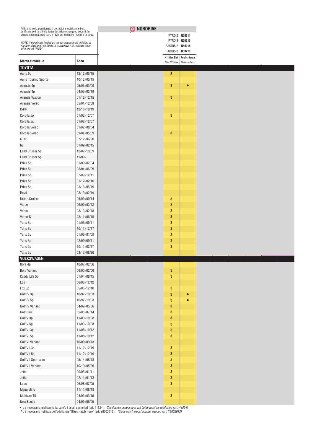| N.B.: una volta posizionato il portabici e installate le bici,<br>verificare se i fanali e la targa del veicolo vengono coperti. In<br>questo caso utilizzare l'art. 41524 per replicare i fanali e la targa. |               | O NORDRIVE |                  |                          |
|---------------------------------------------------------------------------------------------------------------------------------------------------------------------------------------------------------------|---------------|------------|------------------|--------------------------|
|                                                                                                                                                                                                               |               |            |                  | PYRO 2 N50211            |
| NOTE: if the bicycle loaded on the car obstruct the visibility of<br>number plate and rear lights, it is necessary to replicate them                                                                          |               |            | RADIUS 2 N50216  | PYRO 3 N50210            |
| with the art. 41524                                                                                                                                                                                           |               |            | RADIUS 3 N50215  |                          |
| Marca e modello                                                                                                                                                                                               | Anno          |            |                  | N□Max Bici Replic. targa |
| <b>TOYOTA</b>                                                                                                                                                                                                 |               |            | Max N°Bikes      | Plate replicat.          |
| Auris 5p                                                                                                                                                                                                      | 12/12>05/15   |            | 3                |                          |
| <b>Auris Touring Sports</b>                                                                                                                                                                                   | 10/13>05/15   |            |                  |                          |
| Avensis 4p                                                                                                                                                                                                    | 05/03>03/09   |            | 3                | О                        |
| Avensis 4p                                                                                                                                                                                                    | 04/09>03/19   |            |                  |                          |
| Avensis Wagon                                                                                                                                                                                                 | 01/12>12/15   |            | 3                |                          |
| Avensis Verso                                                                                                                                                                                                 | 05/01>12/08   |            |                  |                          |
| C-HR                                                                                                                                                                                                          | 12/16>10/19   |            |                  |                          |
| Corolla 5p                                                                                                                                                                                                    | 01/02>12/07   |            | 3                |                          |
| Corolla sw                                                                                                                                                                                                    | 01/02>12/07   |            |                  |                          |
| Corolla Verso                                                                                                                                                                                                 | 01/02>08/04   |            |                  |                          |
| Corolla Verso                                                                                                                                                                                                 | 09/04>05/09   |            | $\mathbf{3}$     |                          |
| GT86                                                                                                                                                                                                          | 07/12>06/20   |            |                  |                          |
| Iq                                                                                                                                                                                                            | 01/09>02/15   |            |                  |                          |
| Land Cruiser 5p                                                                                                                                                                                               | 12/02>10/09   |            |                  |                          |
| Land Cruiser 5p                                                                                                                                                                                               | 11/09         |            |                  |                          |
| Prius 5p                                                                                                                                                                                                      | 01/00>02/04   |            |                  |                          |
| Prius 5p                                                                                                                                                                                                      | 03/04>06/09   |            |                  |                          |
| Prius 5p                                                                                                                                                                                                      | 07/09>12/11   |            |                  |                          |
| Prius 5p                                                                                                                                                                                                      | 01/12>02/16   |            |                  |                          |
| Prius 5p                                                                                                                                                                                                      | 03/16>05/19   |            |                  |                          |
| Rav4                                                                                                                                                                                                          | 03/13>02/19   |            |                  |                          |
| <b>Urban Cruiser</b>                                                                                                                                                                                          | 05/09>09/14   |            | 3                |                          |
| Verso                                                                                                                                                                                                         | 06/09>02/13   |            | 3                |                          |
| Verso                                                                                                                                                                                                         | 03/13>02/18   |            | 3                |                          |
| Verso-S                                                                                                                                                                                                       | 03/11>06/15   |            | 3                |                          |
| Yaris 3p                                                                                                                                                                                                      | 01/06>09/11   |            | 3                |                          |
| Yaris 3p                                                                                                                                                                                                      | 10/11>12/17   |            | $\mathbf{3}$     |                          |
| Yaris 5p                                                                                                                                                                                                      | 01/06>01/09   |            | 3                |                          |
| Yaris 5p                                                                                                                                                                                                      | 02/09>09/11   |            | $\mathbf{3}$     |                          |
| Yaris 5p                                                                                                                                                                                                      | 10/11>02/17   |            | 3                |                          |
| Yaris 5p                                                                                                                                                                                                      | 03/17>08/20   |            |                  |                          |
| <b>VOLKSWAGEN</b>                                                                                                                                                                                             |               |            |                  |                          |
| Bora 4p                                                                                                                                                                                                       | 10/97 > 02/06 |            |                  |                          |
| <b>Bora Variant</b>                                                                                                                                                                                           | 06/00>02/06   |            | $\boldsymbol{3}$ |                          |
| Caddy Life 5p                                                                                                                                                                                                 | 01/04>08/15   |            | $\mathbf 3$      |                          |
| Eos                                                                                                                                                                                                           | 06/06>12/12   |            |                  |                          |
| Fox 3p                                                                                                                                                                                                        | 05/05>12/10   |            | $\mathbf 3$      |                          |
| Golf IV 3p                                                                                                                                                                                                    | 10/97>10/03   |            | $\bf{3}$         | $\bullet$                |
| Golf IV 5p                                                                                                                                                                                                    | 10/97>10/03   |            | $\mathbf{3}$     | $\bullet$                |
| Golf IV Variant                                                                                                                                                                                               | 04/99>05/06   |            | $\bf{3}$         |                          |
| Golf Plus                                                                                                                                                                                                     | 05/05>07/14   |            | $\mathbf 3$      |                          |
| Golf V 3p                                                                                                                                                                                                     | 11/03>10/08   |            | $\bf{3}$         |                          |
| Golf V 5p                                                                                                                                                                                                     | 11/03>10/08   |            | $\mathbf 3$      |                          |
| Golf VI 3p                                                                                                                                                                                                    | 11/08>10/12   |            | $\mathbf 3$      |                          |
| Golf VI 5p                                                                                                                                                                                                    | 11/08>10/12   |            | $\mathbf{3}$     |                          |
| Golf VI Variant                                                                                                                                                                                               | 10/09>09/13   |            |                  |                          |
| Golf VII 3p                                                                                                                                                                                                   | 11/12>12/19   |            | $\mathbf 3$      |                          |
| Golf VII 5p                                                                                                                                                                                                   | 11/12>12/19   |            | $\mathbf 3$      |                          |
| Golf VII Sportsvan                                                                                                                                                                                            | 05/14>08/18   |            | $\mathbf{3}$     |                          |
| Golf VII Variant                                                                                                                                                                                              | 10/13>05/20   |            | $\mathbf 3$      |                          |
| Jetta                                                                                                                                                                                                         | 09/05>01/11   |            | $\mathbf{3}$     |                          |
| Jetta                                                                                                                                                                                                         | 02/11>01/13   |            | 3                |                          |
| Lupo                                                                                                                                                                                                          | 06/98>07/05   |            | $\mathbf{3}$     |                          |
| Maggiolino                                                                                                                                                                                                    | 11/11 > 08/18 |            |                  |                          |
| Multivan T5                                                                                                                                                                                                   | 04/03>03/15   |            | $\mathbf 3$      |                          |
| New Beetle                                                                                                                                                                                                    | 04/99>06/05   |            |                  |                          |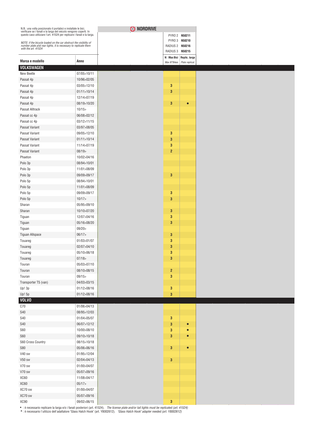| N.B.: una volta posizionato il portabici e installate le bici,<br>verificare se i fanali e la targa del veicolo vengono coperti. In<br>questo caso utilizzare l'art. 41524 per replicare i fanali e la targa. |               |
|---------------------------------------------------------------------------------------------------------------------------------------------------------------------------------------------------------------|---------------|
| NOTE: if the bicycle loaded on the car obstruct the visibility of number plate and rear lights, it is necessary to replicate them                                                                             |               |
| with the art. 41524                                                                                                                                                                                           |               |
|                                                                                                                                                                                                               |               |
| Marca e modello                                                                                                                                                                                               | Anno          |
| VOLKSWAGEN                                                                                                                                                                                                    |               |
| New Beetle                                                                                                                                                                                                    | 07/05>10/11   |
| Passat 4p                                                                                                                                                                                                     | 10/96>02/05   |
| Passat 4p                                                                                                                                                                                                     | 03/05>12/10   |
| Passat 4p                                                                                                                                                                                                     | 01/11 > 10/14 |
| Passat 4p                                                                                                                                                                                                     | 12/14>07/19   |
| Passat 4p                                                                                                                                                                                                     | 08/19>10/20   |
| Passat Alltrack                                                                                                                                                                                               | 10/15         |
| Passat cc 4p                                                                                                                                                                                                  | 06/08>02/12   |
| Passat cc 4p                                                                                                                                                                                                  | 03/12>11/15   |
| Passat Variant                                                                                                                                                                                                | 03/97>08/05   |
| Passat Variant                                                                                                                                                                                                | 09/05>12/10   |
| Passat Variant                                                                                                                                                                                                | 01/11>10/14   |
| Passat Variant                                                                                                                                                                                                | 11/14>07/19   |
| Passat Variant                                                                                                                                                                                                | 08/19         |
| Phaeton                                                                                                                                                                                                       | 10/02>04/16   |
| Polo 3p                                                                                                                                                                                                       | 08/94>10/01   |
| Polo 3p                                                                                                                                                                                                       | 11/01>08/09   |
| Polo 3p                                                                                                                                                                                                       | 09/09>09/17   |
| Polo 5p                                                                                                                                                                                                       | 08/94>10/01   |
| Polo 5p                                                                                                                                                                                                       | 11/01>08/09   |
| Polo 5p                                                                                                                                                                                                       | 09/09>09/17   |
| Polo 5p                                                                                                                                                                                                       | 10/17         |
| Sharan                                                                                                                                                                                                        | 05/95>09/10   |
| Sharan                                                                                                                                                                                                        | 10/10>07/20   |
| Tiguan                                                                                                                                                                                                        | 12/07>04/16   |
| Tiguan                                                                                                                                                                                                        | 05/16>08/20   |
| Tiguan                                                                                                                                                                                                        | 09/20         |
| <b>Tiguan Allspace</b>                                                                                                                                                                                        | 06/17         |
| Touareg                                                                                                                                                                                                       | 01/03>01/07   |
| Touareg                                                                                                                                                                                                       | 02/07>04/10   |
| Touareg                                                                                                                                                                                                       | 05/10>06/18   |
| Touareg                                                                                                                                                                                                       | 07/18         |
| Touran                                                                                                                                                                                                        | 05/03>07/10   |
| Touran                                                                                                                                                                                                        | 08/10>08/15   |
| Touran                                                                                                                                                                                                        | 09/15         |
| Transporter T5 (van)                                                                                                                                                                                          | 04/03>03/15   |
| Up! 3p                                                                                                                                                                                                        | 01/12>08/16   |
| Up! 5p                                                                                                                                                                                                        | 01/12>08/16   |
| <b>VOLVO</b>                                                                                                                                                                                                  |               |
| C70                                                                                                                                                                                                           | 01/06>04/13   |
| <b>S40</b>                                                                                                                                                                                                    | 08/95>12/03   |
| <b>S40</b>                                                                                                                                                                                                    | 01/04>05/07   |
| <b>S40</b>                                                                                                                                                                                                    | 06/07>12/12   |
| <b>S60</b>                                                                                                                                                                                                    | 10/00>08/10   |
| <b>S60</b>                                                                                                                                                                                                    | 09/10>10/18   |
| S60 Cross Country                                                                                                                                                                                             | 08/15>10/18   |
| <b>S80</b>                                                                                                                                                                                                    | 05/06>06/16   |
| V40 sw                                                                                                                                                                                                        | 01/95>12/04   |
| V50 sw                                                                                                                                                                                                        | 02/04>04/13   |
| V70 sw                                                                                                                                                                                                        | 01/00>04/07   |
| V70 sw                                                                                                                                                                                                        | 05/07>09/16   |
| XC60                                                                                                                                                                                                          | 11/08>04/17   |
| XC60                                                                                                                                                                                                          | 05/17         |
| XC70 sw                                                                                                                                                                                                       | 01/00>04/07   |
| XC70 sw                                                                                                                                                                                                       | 05/07>09/16   |
|                                                                                                                                                                                                               |               |
| XC90                                                                                                                                                                                                          | 09/02>06/15   |